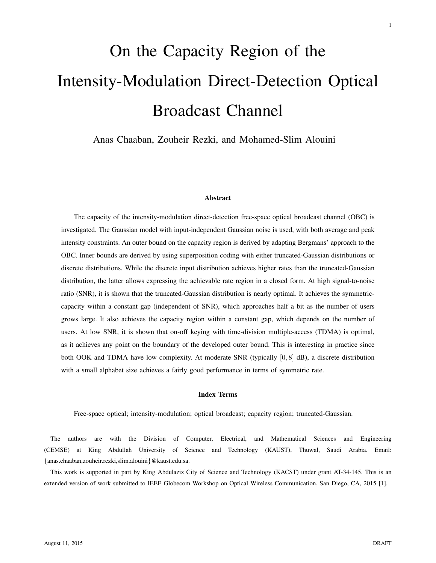# On the Capacity Region of the Intensity-Modulation Direct-Detection Optical Broadcast Channel

Anas Chaaban, Zouheir Rezki, and Mohamed-Slim Alouini

#### Abstract

The capacity of the intensity-modulation direct-detection free-space optical broadcast channel (OBC) is investigated. The Gaussian model with input-independent Gaussian noise is used, with both average and peak intensity constraints. An outer bound on the capacity region is derived by adapting Bergmans' approach to the OBC. Inner bounds are derived by using superposition coding with either truncated-Gaussian distributions or discrete distributions. While the discrete input distribution achieves higher rates than the truncated-Gaussian distribution, the latter allows expressing the achievable rate region in a closed form. At high signal-to-noise ratio (SNR), it is shown that the truncated-Gaussian distribution is nearly optimal. It achieves the symmetriccapacity within a constant gap (independent of SNR), which approaches half a bit as the number of users grows large. It also achieves the capacity region within a constant gap, which depends on the number of users. At low SNR, it is shown that on-off keying with time-division multiple-access (TDMA) is optimal, as it achieves any point on the boundary of the developed outer bound. This is interesting in practice since both OOK and TDMA have low complexity. At moderate SNR (typically  $[0, 8]$  dB), a discrete distribution with a small alphabet size achieves a fairly good performance in terms of symmetric rate.

#### Index Terms

Free-space optical; intensity-modulation; optical broadcast; capacity region; truncated-Gaussian.

The authors are with the Division of Computer, Electrical, and Mathematical Sciences and Engineering (CEMSE) at King Abdullah University of Science and Technology (KAUST), Thuwal, Saudi Arabia. Email: {anas.chaaban,zouheir.rezki,slim.alouini}@kaust.edu.sa.

This work is supported in part by King Abdulaziz City of Science and Technology (KACST) under grant AT-34-145. This is an extended version of work submitted to IEEE Globecom Workshop on Optical Wireless Communication, San Diego, CA, 2015 [1].

1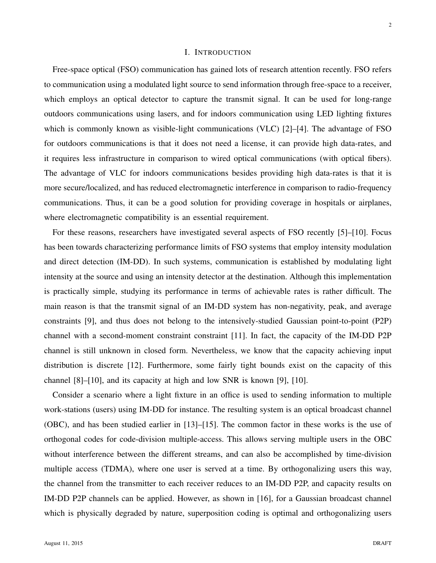#### I. INTRODUCTION

Free-space optical (FSO) communication has gained lots of research attention recently. FSO refers to communication using a modulated light source to send information through free-space to a receiver, which employs an optical detector to capture the transmit signal. It can be used for long-range outdoors communications using lasers, and for indoors communication using LED lighting fixtures which is commonly known as visible-light communications (VLC) [2]–[4]. The advantage of FSO for outdoors communications is that it does not need a license, it can provide high data-rates, and it requires less infrastructure in comparison to wired optical communications (with optical fibers). The advantage of VLC for indoors communications besides providing high data-rates is that it is more secure/localized, and has reduced electromagnetic interference in comparison to radio-frequency communications. Thus, it can be a good solution for providing coverage in hospitals or airplanes, where electromagnetic compatibility is an essential requirement.

For these reasons, researchers have investigated several aspects of FSO recently [5]–[10]. Focus has been towards characterizing performance limits of FSO systems that employ intensity modulation and direct detection (IM-DD). In such systems, communication is established by modulating light intensity at the source and using an intensity detector at the destination. Although this implementation is practically simple, studying its performance in terms of achievable rates is rather difficult. The main reason is that the transmit signal of an IM-DD system has non-negativity, peak, and average constraints [9], and thus does not belong to the intensively-studied Gaussian point-to-point (P2P) channel with a second-moment constraint constraint [11]. In fact, the capacity of the IM-DD P2P channel is still unknown in closed form. Nevertheless, we know that the capacity achieving input distribution is discrete [12]. Furthermore, some fairly tight bounds exist on the capacity of this channel [8]–[10], and its capacity at high and low SNR is known [9], [10].

Consider a scenario where a light fixture in an office is used to sending information to multiple work-stations (users) using IM-DD for instance. The resulting system is an optical broadcast channel (OBC), and has been studied earlier in [13]–[15]. The common factor in these works is the use of orthogonal codes for code-division multiple-access. This allows serving multiple users in the OBC without interference between the different streams, and can also be accomplished by time-division multiple access (TDMA), where one user is served at a time. By orthogonalizing users this way, the channel from the transmitter to each receiver reduces to an IM-DD P2P, and capacity results on IM-DD P2P channels can be applied. However, as shown in [16], for a Gaussian broadcast channel which is physically degraded by nature, superposition coding is optimal and orthogonalizing users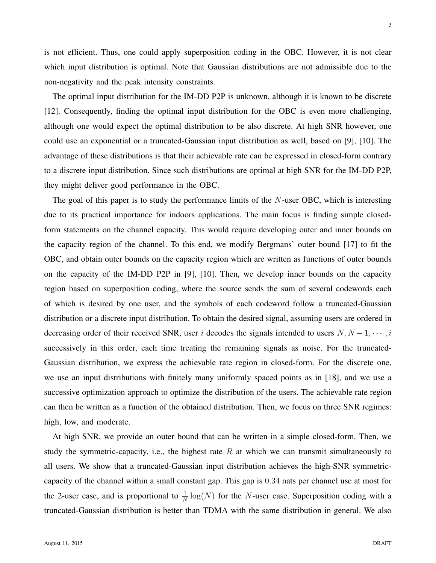is not efficient. Thus, one could apply superposition coding in the OBC. However, it is not clear which input distribution is optimal. Note that Gaussian distributions are not admissible due to the non-negativity and the peak intensity constraints.

The optimal input distribution for the IM-DD P2P is unknown, although it is known to be discrete [12]. Consequently, finding the optimal input distribution for the OBC is even more challenging, although one would expect the optimal distribution to be also discrete. At high SNR however, one could use an exponential or a truncated-Gaussian input distribution as well, based on [9], [10]. The advantage of these distributions is that their achievable rate can be expressed in closed-form contrary to a discrete input distribution. Since such distributions are optimal at high SNR for the IM-DD P2P, they might deliver good performance in the OBC.

The goal of this paper is to study the performance limits of the  $N$ -user OBC, which is interesting due to its practical importance for indoors applications. The main focus is finding simple closedform statements on the channel capacity. This would require developing outer and inner bounds on the capacity region of the channel. To this end, we modify Bergmans' outer bound [17] to fit the OBC, and obtain outer bounds on the capacity region which are written as functions of outer bounds on the capacity of the IM-DD P2P in [9], [10]. Then, we develop inner bounds on the capacity region based on superposition coding, where the source sends the sum of several codewords each of which is desired by one user, and the symbols of each codeword follow a truncated-Gaussian distribution or a discrete input distribution. To obtain the desired signal, assuming users are ordered in decreasing order of their received SNR, user i decodes the signals intended to users  $N, N-1, \cdots, i$ successively in this order, each time treating the remaining signals as noise. For the truncated-Gaussian distribution, we express the achievable rate region in closed-form. For the discrete one, we use an input distributions with finitely many uniformly spaced points as in [18], and we use a successive optimization approach to optimize the distribution of the users. The achievable rate region can then be written as a function of the obtained distribution. Then, we focus on three SNR regimes: high, low, and moderate.

At high SNR, we provide an outer bound that can be written in a simple closed-form. Then, we study the symmetric-capacity, i.e., the highest rate  $R$  at which we can transmit simultaneously to all users. We show that a truncated-Gaussian input distribution achieves the high-SNR symmetriccapacity of the channel within a small constant gap. This gap is 0.34 nats per channel use at most for the 2-user case, and is proportional to  $\frac{1}{N} \log(N)$  for the N-user case. Superposition coding with a truncated-Gaussian distribution is better than TDMA with the same distribution in general. We also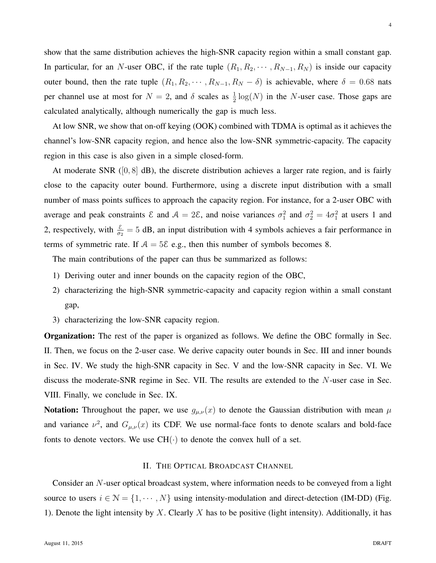show that the same distribution achieves the high-SNR capacity region within a small constant gap. In particular, for an N-user OBC, if the rate tuple  $(R_1, R_2, \cdots, R_{N-1}, R_N)$  is inside our capacity outer bound, then the rate tuple  $(R_1, R_2, \cdots, R_{N-1}, R_N - \delta)$  is achievable, where  $\delta = 0.68$  nats per channel use at most for  $N = 2$ , and  $\delta$  scales as  $\frac{1}{2} \log(N)$  in the N-user case. Those gaps are calculated analytically, although numerically the gap is much less.

At low SNR, we show that on-off keying (OOK) combined with TDMA is optimal as it achieves the channel's low-SNR capacity region, and hence also the low-SNR symmetric-capacity. The capacity region in this case is also given in a simple closed-form.

At moderate SNR ([0, 8] dB), the discrete distribution achieves a larger rate region, and is fairly close to the capacity outer bound. Furthermore, using a discrete input distribution with a small number of mass points suffices to approach the capacity region. For instance, for a 2-user OBC with average and peak constraints  $\mathcal E$  and  $\mathcal A = 2\mathcal E$ , and noise variances  $\sigma_1^2$  and  $\sigma_2^2 = 4\sigma_1^2$  at users 1 and 2, respectively, with  $\frac{\varepsilon}{\sigma_2} = 5$  dB, an input distribution with 4 symbols achieves a fair performance in terms of symmetric rate. If  $A = 5\mathcal{E}$  e.g., then this number of symbols becomes 8.

The main contributions of the paper can thus be summarized as follows:

- 1) Deriving outer and inner bounds on the capacity region of the OBC,
- 2) characterizing the high-SNR symmetric-capacity and capacity region within a small constant gap,
- 3) characterizing the low-SNR capacity region.

Organization: The rest of the paper is organized as follows. We define the OBC formally in Sec. II. Then, we focus on the 2-user case. We derive capacity outer bounds in Sec. III and inner bounds in Sec. IV. We study the high-SNR capacity in Sec. V and the low-SNR capacity in Sec. VI. We discuss the moderate-SNR regime in Sec. VII. The results are extended to the N-user case in Sec. VIII. Finally, we conclude in Sec. IX.

**Notation:** Throughout the paper, we use  $g_{\mu,\nu}(x)$  to denote the Gaussian distribution with mean  $\mu$ and variance  $\nu^2$ , and  $G_{\mu,\nu}(x)$  its CDF. We use normal-face fonts to denote scalars and bold-face fonts to denote vectors. We use  $CH(\cdot)$  to denote the convex hull of a set.

# II. THE OPTICAL BROADCAST CHANNEL

Consider an N-user optical broadcast system, where information needs to be conveyed from a light source to users  $i \in \mathcal{N} = \{1, \dots, N\}$  using intensity-modulation and direct-detection (IM-DD) (Fig. 1). Denote the light intensity by X. Clearly X has to be positive (light intensity). Additionally, it has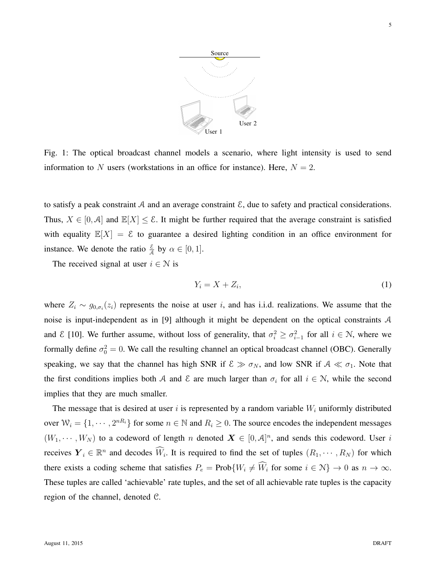

Fig. 1: The optical broadcast channel models a scenario, where light intensity is used to send information to N users (workstations in an office for instance). Here,  $N = 2$ .

to satisfy a peak constraint A and an average constraint  $\mathcal{E}$ , due to safety and practical considerations. Thus,  $X \in [0, A]$  and  $\mathbb{E}[X] \leq \mathcal{E}$ . It might be further required that the average constraint is satisfied with equality  $\mathbb{E}[X] = \mathcal{E}$  to guarantee a desired lighting condition in an office environment for instance. We denote the ratio  $\frac{\varepsilon}{A}$  by  $\alpha \in [0, 1]$ .

The received signal at user  $i \in \mathcal{N}$  is

$$
Y_i = X + Z_i,\tag{1}
$$

where  $Z_i \sim g_{0,\sigma_i}(z_i)$  represents the noise at user i, and has i.i.d. realizations. We assume that the noise is input-independent as in [9] although it might be dependent on the optical constraints A and  $\mathcal E$  [10]. We further assume, without loss of generality, that  $\sigma_i^2 \geq \sigma_{i-1}^2$  for all  $i \in \mathcal N$ , where we formally define  $\sigma_0^2 = 0$ . We call the resulting channel an optical broadcast channel (OBC). Generally speaking, we say that the channel has high SNR if  $\mathcal{E} \gg \sigma_N$ , and low SNR if  $\mathcal{A} \ll \sigma_1$ . Note that the first conditions implies both A and E are much larger than  $\sigma_i$  for all  $i \in \mathcal{N}$ , while the second implies that they are much smaller.

The message that is desired at user i is represented by a random variable  $W_i$  uniformly distributed over  $W_i = \{1, \dots, 2^{nR_i}\}\$  for some  $n \in \mathbb{N}$  and  $R_i \geq 0$ . The source encodes the independent messages  $(W_1, \dots, W_N)$  to a codeword of length n denoted  $\mathbf{X} \in [0, A]^n$ , and sends this codeword. User i receives  $Y_i \in \mathbb{R}^n$  and decodes  $\widehat{W}_i$ . It is required to find the set of tuples  $(R_1, \dots, R_N)$  for which there exists a coding scheme that satisfies  $P_e = \text{Prob}\{W_i \neq \widehat{W}_i \text{ for some } i \in \mathbb{N}\}\rightarrow 0 \text{ as } n \rightarrow \infty.$ These tuples are called 'achievable' rate tuples, and the set of all achievable rate tuples is the capacity region of the channel, denoted C.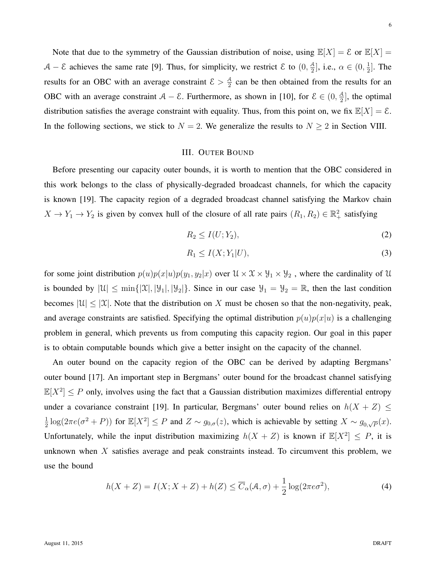Note that due to the symmetry of the Gaussian distribution of noise, using  $\mathbb{E}[X] = \mathcal{E}$  or  $\mathbb{E}[X] =$  $A - \mathcal{E}$  achieves the same rate [9]. Thus, for simplicity, we restrict  $\mathcal{E}$  to  $(0, \frac{\mathcal{A}}{2})$  $(\frac{4}{2}],$  i.e.,  $\alpha \in (0, \frac{1}{2})$  $\frac{1}{2}$ . The results for an OBC with an average constraint  $\mathcal{E} > \frac{\mathcal{A}}{2}$  $\frac{\pi}{2}$  can be then obtained from the results for an OBC with an average constraint  $A - \mathcal{E}$ . Furthermore, as shown in [10], for  $\mathcal{E} \in (0, \frac{A}{2})$  $\frac{A}{2}$ , the optimal distribution satisfies the average constraint with equality. Thus, from this point on, we fix  $\mathbb{E}[X] = \mathcal{E}$ . In the following sections, we stick to  $N = 2$ . We generalize the results to  $N \ge 2$  in Section VIII.

# III. OUTER BOUND

Before presenting our capacity outer bounds, it is worth to mention that the OBC considered in this work belongs to the class of physically-degraded broadcast channels, for which the capacity is known [19]. The capacity region of a degraded broadcast channel satisfying the Markov chain  $X \to Y_1 \to Y_2$  is given by convex hull of the closure of all rate pairs  $(R_1, R_2) \in \mathbb{R}^2_+$  satisfying

$$
R_2 \le I(U;Y_2),\tag{2}
$$

$$
R_1 \le I(X; Y_1 | U),\tag{3}
$$

for some joint distribution  $p(u)p(x|u)p(y_1, y_2|x)$  over  $u \times x \times y_1 \times y_2$ , where the cardinality of  $u$ is bounded by  $|\mathcal{U}| \le \min\{|\mathcal{X}|, |\mathcal{Y}_1|, |\mathcal{Y}_2|\}$ . Since in our case  $\mathcal{Y}_1 = \mathcal{Y}_2 = \mathbb{R}$ , then the last condition becomes  $|\mathcal{U}| \leq |\mathcal{X}|$ . Note that the distribution on X must be chosen so that the non-negativity, peak, and average constraints are satisfied. Specifying the optimal distribution  $p(u)p(x|u)$  is a challenging problem in general, which prevents us from computing this capacity region. Our goal in this paper is to obtain computable bounds which give a better insight on the capacity of the channel.

An outer bound on the capacity region of the OBC can be derived by adapting Bergmans' outer bound [17]. An important step in Bergmans' outer bound for the broadcast channel satisfying  $\mathbb{E}[X^2] \leq P$  only, involves using the fact that a Gaussian distribution maximizes differential entropy under a covariance constraint [19]. In particular, Bergmans' outer bound relies on  $h(X + Z) \le$ 1  $\frac{1}{2}\log(2\pi e(\sigma^2+P))$  for  $\mathbb{E}[X^2] \leq P$  and  $Z \sim g_{0,\sigma}(z)$ , which is achievable by setting  $X \sim g_{0,\sqrt{P}}(x)$ . Unfortunately, while the input distribution maximizing  $h(X + Z)$  is known if  $\mathbb{E}[X^2] \leq P$ , it is unknown when  $X$  satisfies average and peak constraints instead. To circumvent this problem, we use the bound

$$
h(X+Z) = I(X; X+Z) + h(Z) \le \overline{C}_{\alpha}(\mathcal{A}, \sigma) + \frac{1}{2}\log(2\pi e\sigma^2),\tag{4}
$$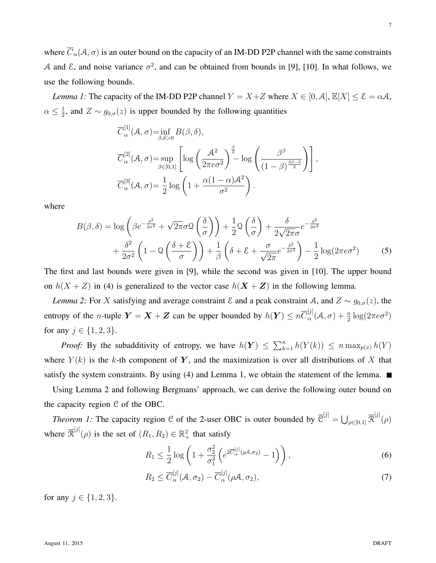where  $\overline{C}_{\alpha}(A,\sigma)$  is an outer bound on the capacity of an IM-DD P2P channel with the same constraints A and  $\epsilon$ , and noise variance  $\sigma^2$ , and can be obtained from bounds in [9], [10]. In what follows, we use the following bounds.

*Lemma 1:* The capacity of the IM-DD P2P channel  $Y = X + Z$  where  $X \in [0, A]$ ,  $\mathbb{E}[X] \le \mathcal{E} = \alpha \mathcal{A}$ ,  $\alpha \leq \frac{1}{2}$  $\frac{1}{2}$ , and  $Z \sim g_{0,\sigma}(z)$  is upper bounded by the following quantities

$$
\overline{C}_{\alpha}^{[1]}(A,\sigma) = \inf_{\beta,\delta>0} B(\beta,\delta),
$$
\n
$$
\overline{C}_{\alpha}^{[2]}(A,\sigma) = \sup_{\beta \in [0,1]} \left[ \log \left( \frac{A^2}{2\pi e \sigma^2} \right)^{\frac{\beta}{2}} - \log \left( \frac{\beta^{\beta}}{(1-\beta)^{\frac{3\beta-3}{2}}} \right) \right],
$$
\n
$$
\overline{C}_{\alpha}^{[3]}(A,\sigma) = \frac{1}{2} \log \left( 1 + \frac{\alpha(1-\alpha)A^2}{\sigma^2} \right).
$$

where

$$
B(\beta,\delta) = \log \left( \beta e^{-\frac{\delta^2}{2\sigma^2}} + \sqrt{2\pi}\sigma \mathcal{Q}\left(\frac{\delta}{\sigma}\right) \right) + \frac{1}{2}\mathcal{Q}\left(\frac{\delta}{\sigma}\right) + \frac{\delta}{2\sqrt{2\pi}\sigma}e^{-\frac{\delta^2}{2\sigma^2}} + \frac{\delta^2}{2\sigma^2} \left(1 - \mathcal{Q}\left(\frac{\delta + \mathcal{E}}{\sigma}\right)\right) + \frac{1}{\beta} \left(\delta + \mathcal{E} + \frac{\sigma}{\sqrt{2\pi}}e^{-\frac{\delta^2}{2\sigma^2}}\right) - \frac{1}{2}\log(2\pi e\sigma^2)
$$
(5)

The first and last bounds were given in [9], while the second was given in [10]. The upper bound on  $h(X + Z)$  in (4) is generalized to the vector case  $h(X + Z)$  in the following lemma.

*Lemma 2:* For X satisfying and average constraint  $\mathcal E$  and a peak constraint A, and  $Z \sim g_{0,\sigma}(z)$ , the entropy of the *n*-tuple  $Y = X + Z$  can be upper bounded by  $h(Y) \le n \overline{C}_\alpha^{[j]}$  $\frac{d}{d\alpha}(\mathcal{A},\sigma)+\frac{n}{2}\log(2\pi e\sigma^2)$ for any  $j \in \{1, 2, 3\}$ .

*Proof:* By the subadditivity of entropy, we have  $h(Y) \le \sum_{k=1}^n h(Y(k)) \le n \max_{p(x)} h(Y)$ where  $Y(k)$  is the k-th component of Y, and the maximization is over all distributions of X that satisfy the system constraints. By using (4) and Lemma 1, we obtain the statement of the lemma.  $\blacksquare$ 

Using Lemma 2 and following Bergmans' approach, we can derive the following outer bound on the capacity region  $C$  of the OBC.

*Theorem 1:* The capacity region C of the 2-user OBC is outer bounded by  $\overline{C}^{[j]} = \bigcup_{\rho \in [0,1]} \overline{\mathcal{R}}^{[j]}(\rho)$ where  $\overline{\mathcal{R}}^{[j]}(\rho)$  is the set of  $(R_1, R_2) \in \mathbb{R}^2_+$  that satisfy

$$
R_1 \leq \frac{1}{2} \log \left( 1 + \frac{\sigma_2^2}{\sigma_1^2} \left( e^{2 \overline{C}_{\alpha}^{[j]}(\rho A, \sigma_2)} - 1 \right) \right),\tag{6}
$$

$$
R_2 \leq \overline{C}_{\alpha}^{[j]}(\mathcal{A}, \sigma_2) - \overline{C}_{\alpha}^{[j]}(\rho \mathcal{A}, \sigma_2), \tag{7}
$$

for any  $j \in \{1, 2, 3\}.$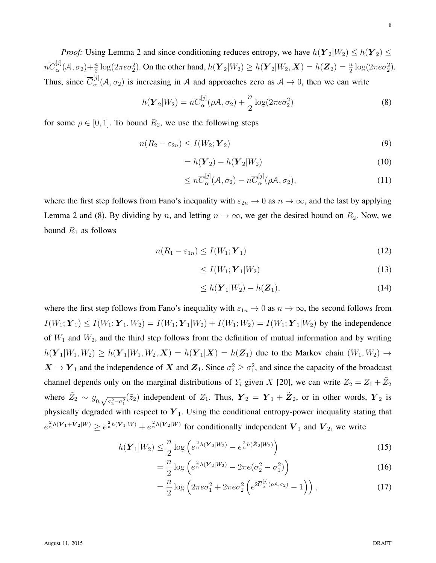*Proof:* Using Lemma 2 and since conditioning reduces entropy, we have  $h(Y_2|W_2) \le h(Y_2) \le$  $n\overline{C}_{\alpha}^{[j]}$  $\frac{d}{d\alpha}(\mathcal{A}, \sigma_2) + \frac{n}{2}\log(2\pi e \sigma_2^2)$ . On the other hand,  $h(\mathbf{Y}_2|W_2) \ge h(\mathbf{Y}_2|W_2, \mathbf{X}) = h(\mathbf{Z}_2) = \frac{n}{2}\log(2\pi e \sigma_2^2)$ . Thus, since  $\overline{C}_{\alpha}^{[j]}$  $\alpha^{[1]}_{\alpha}(A,\sigma_2)$  is increasing in A and approaches zero as  $A \rightarrow 0$ , then we can write

$$
h(\boldsymbol{Y}_2|W_2) = n\overline{C}_{\alpha}^{[j]}(\rho \mathcal{A}, \sigma_2) + \frac{n}{2}\log(2\pi e \sigma_2^2)
$$
\n(8)

for some  $\rho \in [0, 1]$ . To bound  $R_2$ , we use the following steps

$$
n(R_2 - \varepsilon_{2n}) \le I(W_2; \boldsymbol{Y}_2)
$$
\n<sup>(9)</sup>

$$
= h(\boldsymbol{Y}_2) - h(\boldsymbol{Y}_2|W_2) \tag{10}
$$

$$
\leq n \overline{C}_{\alpha}^{[j]}(\mathcal{A}, \sigma_2) - n \overline{C}_{\alpha}^{[j]}(\rho \mathcal{A}, \sigma_2), \tag{11}
$$

where the first step follows from Fano's inequality with  $\varepsilon_{2n} \to 0$  as  $n \to \infty$ , and the last by applying Lemma 2 and (8). By dividing by n, and letting  $n \to \infty$ , we get the desired bound on  $R_2$ . Now, we bound  $R_1$  as follows

$$
n(R_1 - \varepsilon_{1n}) \le I(W_1; \mathbf{Y}_1) \tag{12}
$$

$$
\leq I(W_1; \boldsymbol{Y}_1 | W_2) \tag{13}
$$

$$
\leq h(\boldsymbol{Y}_1|W_2) - h(\boldsymbol{Z}_1),\tag{14}
$$

where the first step follows from Fano's inequality with  $\varepsilon_{1n} \to 0$  as  $n \to \infty$ , the second follows from  $I(W_1; Y_1) \le I(W_1; Y_1, W_2) = I(W_1; Y_1 | W_2) + I(W_1; W_2) = I(W_1; Y_1 | W_2)$  by the independence of  $W_1$  and  $W_2$ , and the third step follows from the definition of mutual information and by writing  $h(Y_1|W_1, W_2) \ge h(Y_1|W_1, W_2, X) = h(Y_1|X) = h(Z_1)$  due to the Markov chain  $(W_1, W_2) \rightarrow$  $X \to Y_1$  and the independence of X and  $Z_1$ . Since  $\sigma_2^2 \ge \sigma_1^2$ , and since the capacity of the broadcast channel depends only on the marginal distributions of  $Y_i$  given X [20], we can write  $Z_2 = Z_1 + \tilde{Z}_2$ where  $\tilde{Z}_2 \sim g_{0,\sqrt{\sigma_2^2-\sigma_1^2}}(\tilde{z}_2)$  independent of  $Z_1$ . Thus,  $\boldsymbol{Y}_2 = \boldsymbol{Y}_1 + \tilde{\boldsymbol{Z}}_2$ , or in other words,  $\boldsymbol{Y}_2$  is physically degraded with respect to  $Y_1$ . Using the conditional entropy-power inequality stating that  $e^{\frac{2}{n}h(V_1+V_2|W)} \geq e^{\frac{2}{n}h(V_1|W)} + e^{\frac{2}{n}h(V_2|W)}$  for conditionally independent  $V_1$  and  $V_2$ , we write

$$
h(\boldsymbol{Y}_1|W_2) \leq \frac{n}{2} \log \left( e^{\frac{2}{n}h(\boldsymbol{Y}_2|W_2)} - e^{\frac{2}{n}h(\tilde{\boldsymbol{Z}}_2|W_2)} \right) \tag{15}
$$

$$
= \frac{n}{2} \log \left( e^{\frac{2}{n}h(\mathbf{Y}_2|W_2)} - 2\pi e(\sigma_2^2 - \sigma_1^2) \right)
$$
 (16)

$$
= \frac{n}{2}\log\left(2\pi e \sigma_1^2 + 2\pi e \sigma_2^2 \left(e^{2\overline{C}_{\alpha}^{[j]}(\rho A, \sigma_2)} - 1\right)\right),\tag{17}
$$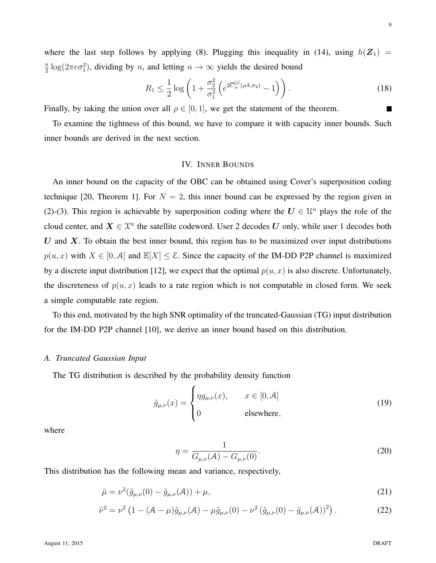where the last step follows by applying (8). Plugging this inequality in (14), using  $h(\mathbf{Z}_1)$  = n  $\frac{n}{2} \log(2\pi e \sigma_1^2)$ , dividing by *n*, and letting  $n \to \infty$  yields the desired bound

$$
R_1 \leq \frac{1}{2} \log \left( 1 + \frac{\sigma_2^2}{\sigma_1^2} \left( e^{2 \overline{C}_{\alpha}^{[j]}(\rho A, \sigma_2)} - 1 \right) \right).
$$
 (18)

Finally, by taking the union over all  $\rho \in [0, 1]$ , we get the statement of the theorem.

To examine the tightness of this bound, we have to compare it with capacity inner bounds. Such inner bounds are derived in the next section.

# IV. INNER BOUNDS

An inner bound on the capacity of the OBC can be obtained using Cover's superposition coding technique [20, Theorem 1]. For  $N = 2$ , this inner bound can be expressed by the region given in (2)-(3). This region is achievable by superposition coding where the  $U \in \mathcal{U}^n$  plays the role of the cloud center, and  $X \in \mathcal{X}^n$  the satellite codeword. User 2 decodes U only, while user 1 decodes both U and X. To obtain the best inner bound, this region has to be maximized over input distributions  $p(u, x)$  with  $X \in [0, A]$  and  $\mathbb{E}[X] \leq \mathcal{E}$ . Since the capacity of the IM-DD P2P channel is maximized by a discrete input distribution [12], we expect that the optimal  $p(u, x)$  is also discrete. Unfortunately, the discreteness of  $p(u, x)$  leads to a rate region which is not computable in closed form. We seek a simple computable rate region.

To this end, motivated by the high SNR optimality of the truncated-Gaussian (TG) input distribution for the IM-DD P2P channel [10], we derive an inner bound based on this distribution.

#### *A. Truncated Gaussian Input*

The TG distribution is described by the probability density function

$$
\tilde{g}_{\mu,\nu}(x) = \begin{cases} \eta g_{\mu,\nu}(x), & x \in [0,\mathcal{A}] \\ 0 & \text{elsewhere,} \end{cases}
$$
 (19)

where

$$
\eta = \frac{1}{G_{\mu,\nu}(\mathcal{A}) - G_{\mu,\nu}(0)}.
$$
\n(20)

This distribution has the following mean and variance, respectively,

$$
\tilde{\mu} = \nu^2(\tilde{g}_{\mu,\nu}(0) - \tilde{g}_{\mu,\nu}(A)) + \mu,
$$
\n(21)

$$
\tilde{\nu}^2 = \nu^2 \left( 1 - (\mathcal{A} - \mu) \tilde{g}_{\mu,\nu}(\mathcal{A}) - \mu \tilde{g}_{\mu,\nu}(0) - \nu^2 \left( \tilde{g}_{\mu,\nu}(0) - \tilde{g}_{\mu,\nu}(\mathcal{A}) \right)^2 \right).
$$
 (22)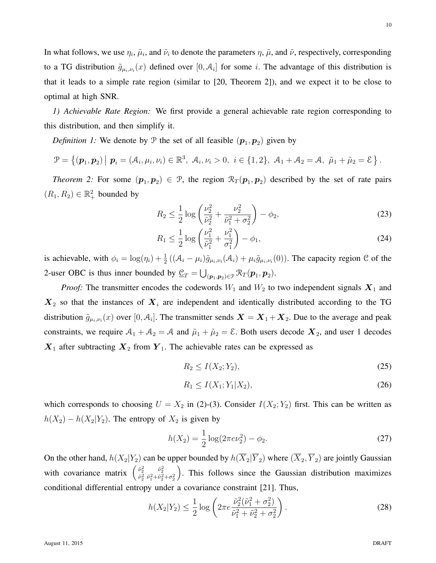In what follows, we use  $\eta_i$ ,  $\tilde{\mu}_i$ , and  $\tilde{\nu}_i$  to denote the parameters  $\eta$ ,  $\tilde{\mu}$ , and  $\tilde{\nu}$ , respectively, corresponding to a TG distribution  $\tilde{g}_{\mu_i,\nu_i}(x)$  defined over  $[0,\mathcal{A}_i]$  for some i. The advantage of this distribution is that it leads to a simple rate region (similar to [20, Theorem 2]), and we expect it to be close to optimal at high SNR.

*1) Achievable Rate Region:* We first provide a general achievable rate region corresponding to this distribution, and then simplify it.

*Definition 1:* We denote by  $P$  the set of all feasible  $(\boldsymbol{p}_1, \boldsymbol{p}_2)$  given by

$$
\mathcal{P} = \{(\boldsymbol{p}_1, \boldsymbol{p}_2) \mid \boldsymbol{p}_i = (\mathcal{A}_i, \mu_i, \nu_i) \in \mathbb{R}^3, \ \mathcal{A}_i, \nu_i > 0, \ i \in \{1, 2\}, \ \mathcal{A}_1 + \mathcal{A}_2 = \mathcal{A}, \ \tilde{\mu}_1 + \tilde{\mu}_2 = \mathcal{E} \}.
$$

*Theorem 2:* For some  $(p_1, p_2) \in \mathcal{P}$ , the region  $\mathcal{R}_T(p_1, p_2)$  described by the set of rate pairs  $(R_1, R_2) \in \mathbb{R}^2_+$  bounded by

$$
R_2 \le \frac{1}{2} \log \left( \frac{\nu_2^2}{\tilde{\nu}_2^2} + \frac{\nu_2^2}{\tilde{\nu}_1^2 + \sigma_2^2} \right) - \phi_2,\tag{23}
$$

$$
R_1 \le \frac{1}{2} \log \left( \frac{\nu_1^2}{\tilde{\nu}_1^2} + \frac{\nu_1^2}{\sigma_1^2} \right) - \phi_1,\tag{24}
$$

is achievable, with  $\phi_i = \log(\eta_i) + \frac{1}{2}((\mathcal{A}_i - \mu_i)\tilde{g}_{\mu_i,\nu_i}(\mathcal{A}_i) + \mu_i\tilde{g}_{\mu_i,\nu_i}(0))$ . The capacity region C of the 2-user OBC is thus inner bounded by  $\underline{\mathcal{C}}_T = \bigcup_{(\boldsymbol{p}_1,\boldsymbol{p}_2)\in\mathcal{P}} \mathcal{R}_T(\boldsymbol{p}_1,\boldsymbol{p}_2)$ .

*Proof:* The transmitter encodes the codewords  $W_1$  and  $W_2$  to two independent signals  $X_1$  and  $X_2$  so that the instances of  $X_i$  are independent and identically distributed according to the TG distribution  $\tilde{g}_{\mu_i,\nu_i}(x)$  over  $[0,\mathcal{A}_i]$ . The transmitter sends  $\bm{X} = \bm{X}_1 + \bm{X}_2$ . Due to the average and peak constraints, we require  $A_1 + A_2 = A$  and  $\tilde{\mu}_1 + \tilde{\mu}_2 = \mathcal{E}$ . Both users decode  $\mathbf{X}_2$ , and user 1 decodes  $X_1$  after subtracting  $X_2$  from  $Y_1$ . The achievable rates can be expressed as

$$
R_2 \le I(X_2; Y_2),\tag{25}
$$

$$
R_1 \le I(X_1; Y_1 | X_2),\tag{26}
$$

which corresponds to choosing  $U = X_2$  in (2)-(3). Consider  $I(X_2; Y_2)$  first. This can be written as  $h(X_2) - h(X_2|Y_2)$ . The entropy of  $X_2$  is given by

$$
h(X_2) = \frac{1}{2}\log(2\pi e\nu_2^2) - \phi_2.
$$
 (27)

On the other hand,  $h(X_2|Y_2)$  can be upper bounded by  $h(\overline{X}_2|\overline{Y}_2)$  where  $(\overline{X}_2,\overline{Y}_2)$  are jointly Gaussian with covariance matrix  $\begin{pmatrix} \tilde{\nu}_2^2 & \tilde{\nu}_2^2 \\ \tilde{\nu}_2^2 & \tilde{\nu}_1^2 + \tilde{\nu}_2^2 + \sigma_2^2 \end{pmatrix}$  . This follows since the Gaussian distribution maximizes conditional differential entropy under a covariance constraint [21]. Thus,

$$
h(X_2|Y_2) \le \frac{1}{2} \log \left( 2\pi e \frac{\tilde{\nu}_2^2 (\tilde{\nu}_1^2 + \sigma_2^2)}{\tilde{\nu}_1^2 + \tilde{\nu}_2^2 + \sigma_2^2} \right).
$$
 (28)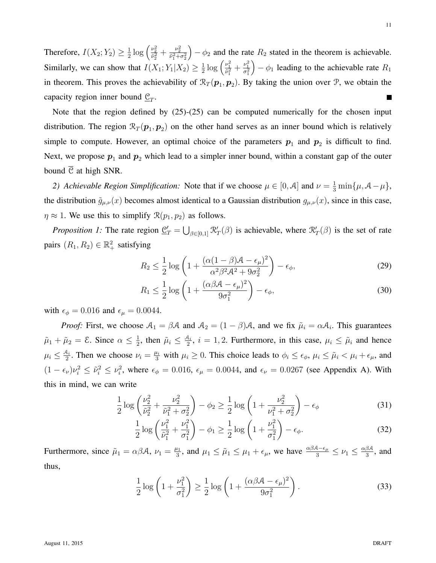$\frac{1}{2} \log \left( \frac{\nu_2^2}{\tilde{\nu}_2^2} + \frac{\nu_2^2}{\tilde{\nu}_1^2 + \sigma_2^2} \right)$  $(-\phi_2)$  and the rate  $R_2$  stated in the theorem is achievable. Therefore,  $I(X_2; Y_2) \geq \frac{1}{2}$  $\frac{1}{2} \log \left( \frac{\nu_1^2}{\tilde{\nu}_1^2} + \frac{\nu_1^2}{\sigma_1^2} \right)$  $\phi_1$  leading to the achievable rate  $R_1$ Similarly, we can show that  $I(X_1; Y_1 | X_2) \geq \frac{1}{2}$ in theorem. This proves the achievability of  $\mathcal{R}_T(\mathbf{p}_1, \mathbf{p}_2)$ . By taking the union over  $\mathcal{P}$ , we obtain the capacity region inner bound  $\underline{\mathcal{C}}_T$ .  $\blacksquare$ 

Note that the region defined by (25)-(25) can be computed numerically for the chosen input distribution. The region  $\mathcal{R}_T(\bm{p}_1, \bm{p}_2)$  on the other hand serves as an inner bound which is relatively simple to compute. However, an optimal choice of the parameters  $p_1$  and  $p_2$  is difficult to find. Next, we propose  $p_1$  and  $p_2$  which lead to a simpler inner bound, within a constant gap of the outer bound  $\overline{C}$  at high SNR.

2) Achievable Region Simplification: Note that if we choose  $\mu \in [0, \mathcal{A}]$  and  $\nu = \frac{1}{3} \min{\{\mu, \mathcal{A} - \mu\}}$ , the distribution  $\tilde{g}_{\mu,\nu}(x)$  becomes almost identical to a Gaussian distribution  $g_{\mu,\nu}(x)$ , since in this case,  $\eta \approx 1$ . We use this to simplify  $\mathcal{R}(p_1, p_2)$  as follows.

*Proposition 1:* The rate region  $\underline{\mathcal{C}}'_T = \bigcup_{\beta \in [0,1]} \mathcal{R}'_T(\beta)$  is achievable, where  $\mathcal{R}'_T(\beta)$  is the set of rate pairs  $(R_1, R_2) \in \mathbb{R}^2_+$  satisfying

$$
R_2 \le \frac{1}{2} \log \left( 1 + \frac{(\alpha (1 - \beta) \mathcal{A} - \epsilon_\mu)^2}{\alpha^2 \beta^2 \mathcal{A}^2 + 9 \sigma_2^2} \right) - \epsilon_\phi,
$$
\n(29)

$$
R_1 \le \frac{1}{2} \log \left( 1 + \frac{(\alpha \beta \mathcal{A} - \epsilon_\mu)^2}{9\sigma_1^2} \right) - \epsilon_\phi,
$$
\n(30)

with  $\epsilon_{\phi} = 0.016$  and  $\epsilon_{\mu} = 0.0044$ .

*Proof:* First, we choose  $A_1 = \beta A$  and  $A_2 = (1 - \beta)A$ , and we fix  $\tilde{\mu}_i = \alpha A_i$ . This guarantees  $\tilde{\mu}_1 + \tilde{\mu}_2 = \mathcal{E}$ . Since  $\alpha \leq \frac{1}{2}$  $\frac{1}{2}$ , then  $\tilde{\mu}_i \leq \frac{\mathcal{A}_i}{2}$  $\frac{a_i}{2}$ ,  $i = 1, 2$ . Furthermore, in this case,  $\mu_i \leq \tilde{\mu}_i$  and hence  $\mu_i \leq \frac{A_i}{2}$  $\frac{a_i}{2}$ . Then we choose  $\nu_i = \frac{\mu_i}{3}$  with  $\mu_i \ge 0$ . This choice leads to  $\phi_i \le \epsilon_{\phi}$ ,  $\mu_i \le \tilde{\mu}_i < \mu_i + \epsilon_{\mu}$ , and  $(1 - \epsilon_{\nu})\nu_i^2 \leq \tilde{\nu}_i^2 \leq \nu_i^2$ , where  $\epsilon_{\phi} = 0.016$ ,  $\epsilon_{\mu} = 0.0044$ , and  $\epsilon_{\nu} = 0.0267$  (see Appendix A). With this in mind, we can write

$$
\frac{1}{2}\log\left(\frac{\nu_2^2}{\tilde{\nu}_2^2} + \frac{\nu_2^2}{\tilde{\nu}_1^2 + \sigma_2^2}\right) - \phi_2 \ge \frac{1}{2}\log\left(1 + \frac{\nu_2^2}{\nu_1^2 + \sigma_2^2}\right) - \epsilon_\phi \tag{31}
$$

$$
\frac{1}{2}\log\left(\frac{\nu_1^2}{\tilde{\nu}_1^2} + \frac{\nu_1^2}{\sigma_1^2}\right) - \phi_1 \ge \frac{1}{2}\log\left(1 + \frac{\nu_1^2}{\sigma_1^2}\right) - \epsilon_{\phi}.\tag{32}
$$

Furthermore, since  $\tilde{\mu}_1 = \alpha \beta \mathcal{A}$ ,  $\nu_1 = \frac{\mu_1}{3}$  $\frac{\mu_1}{3}$ , and  $\mu_1 \leq \tilde{\mu}_1 \leq \mu_1 + \epsilon_{\mu}$ , we have  $\frac{\alpha\beta A - \epsilon_{\mu}}{3} \leq \nu_1 \leq \frac{\alpha\beta A}{3}$  $rac{B}{3}$ , and thus,

$$
\frac{1}{2}\log\left(1+\frac{\nu_1^2}{\sigma_1^2}\right) \ge \frac{1}{2}\log\left(1+\frac{(\alpha\beta\mathcal{A}-\epsilon_\mu)^2}{9\sigma_1^2}\right). \tag{33}
$$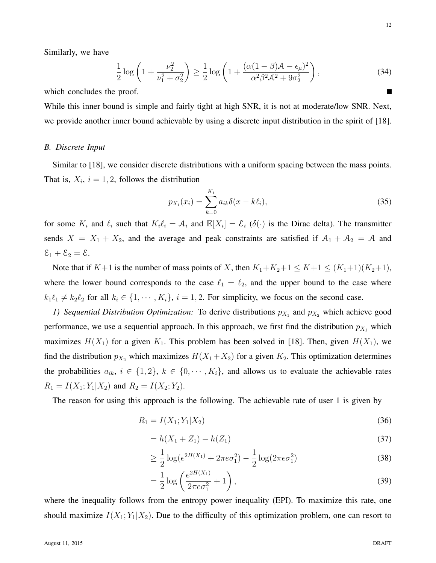Similarly, we have

$$
\frac{1}{2}\log\left(1+\frac{\nu_2^2}{\nu_1^2+\sigma_2^2}\right) \ge \frac{1}{2}\log\left(1+\frac{(\alpha(1-\beta)\mathcal{A}-\epsilon_\mu)^2}{\alpha^2\beta^2\mathcal{A}^2+9\sigma_2^2}\right),\tag{34}
$$

which concludes the proof.

While this inner bound is simple and fairly tight at high SNR, it is not at moderate/low SNR. Next, we provide another inner bound achievable by using a discrete input distribution in the spirit of [18].

# *B. Discrete Input*

Similar to [18], we consider discrete distributions with a uniform spacing between the mass points. That is,  $X_i$ ,  $i = 1, 2$ , follows the distribution

$$
p_{X_i}(x_i) = \sum_{k=0}^{K_i} a_{ik} \delta(x - k\ell_i),
$$
\n(35)

for some  $K_i$  and  $\ell_i$  such that  $K_i \ell_i = A_i$  and  $\mathbb{E}[X_i] = \mathcal{E}_i$  ( $\delta(\cdot)$  is the Dirac delta). The transmitter sends  $X = X_1 + X_2$ , and the average and peak constraints are satisfied if  $A_1 + A_2 = A$  and  $\mathcal{E}_1 + \mathcal{E}_2 = \mathcal{E}.$ 

Note that if  $K+1$  is the number of mass points of X, then  $K_1+K_2+1 \leq K+1 \leq (K_1+1)(K_2+1)$ , where the lower bound corresponds to the case  $\ell_1 = \ell_2$ , and the upper bound to the case where  $k_1\ell_1 \neq k_2\ell_2$  for all  $k_i \in \{1, \dots, K_i\}$ ,  $i = 1, 2$ . For simplicity, we focus on the second case.

1) Sequential Distribution Optimization: To derive distributions  $p_{X_1}$  and  $p_{X_2}$  which achieve good performance, we use a sequential approach. In this approach, we first find the distribution  $p_{X_1}$  which maximizes  $H(X_1)$  for a given  $K_1$ . This problem has been solved in [18]. Then, given  $H(X_1)$ , we find the distribution  $p_{X_2}$  which maximizes  $H(X_1+X_2)$  for a given  $K_2$ . This optimization determines the probabilities  $a_{ik}$ ,  $i \in \{1,2\}$ ,  $k \in \{0, \dots, K_i\}$ , and allows us to evaluate the achievable rates  $R_1 = I(X_1; Y_1 | X_2)$  and  $R_2 = I(X_2; Y_2)$ .

The reason for using this approach is the following. The achievable rate of user 1 is given by

$$
R_1 = I(X_1; Y_1 | X_2) \tag{36}
$$

$$
= h(X_1 + Z_1) - h(Z_1)
$$
\n(37)

$$
\geq \frac{1}{2}\log(e^{2H(X_1)} + 2\pi e \sigma_1^2) - \frac{1}{2}\log(2\pi e \sigma_1^2)
$$
\n(38)

$$
= \frac{1}{2} \log \left( \frac{e^{2H(X_1)}}{2\pi e \sigma_1^2} + 1 \right),\tag{39}
$$

where the inequality follows from the entropy power inequality (EPI). To maximize this rate, one should maximize  $I(X_1; Y_1 | X_2)$ . Due to the difficulty of this optimization problem, one can resort to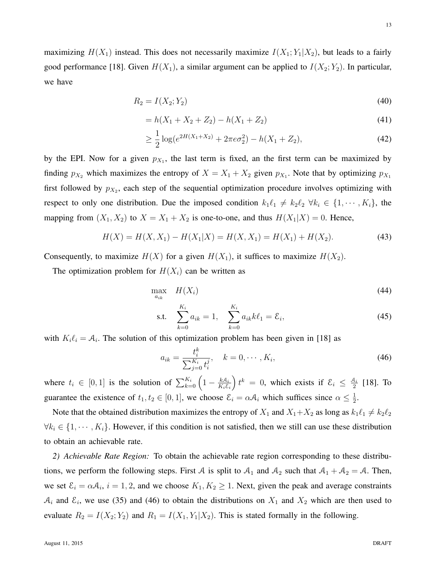maximizing  $H(X_1)$  instead. This does not necessarily maximize  $I(X_1; Y_1 | X_2)$ , but leads to a fairly good performance [18]. Given  $H(X_1)$ , a similar argument can be applied to  $I(X_2; Y_2)$ . In particular, we have

$$
R_2 = I(X_2; Y_2) \tag{40}
$$

$$
= h(X_1 + X_2 + Z_2) - h(X_1 + Z_2)
$$
\n(41)

$$
\geq \frac{1}{2}\log(e^{2H(X_1+X_2)} + 2\pi e \sigma_2^2) - h(X_1+Z_2),\tag{42}
$$

by the EPI. Now for a given  $p_{X_1}$ , the last term is fixed, an the first term can be maximized by finding  $p_{X_2}$  which maximizes the entropy of  $X = X_1 + X_2$  given  $p_{X_1}$ . Note that by optimizing  $p_{X_1}$ first followed by  $p_{X_2}$ , each step of the sequential optimization procedure involves optimizing with respect to only one distribution. Due the imposed condition  $k_1\ell_1 \neq k_2\ell_2 \ \forall k_i \in \{1, \cdots, K_i\}$ , the mapping from  $(X_1, X_2)$  to  $X = X_1 + X_2$  is one-to-one, and thus  $H(X_1|X) = 0$ . Hence,

$$
H(X) = H(X, X_1) - H(X_1|X) = H(X, X_1) = H(X_1) + H(X_2).
$$
\n(43)

Consequently, to maximize  $H(X)$  for a given  $H(X_1)$ , it suffices to maximize  $H(X_2)$ .

The optimization problem for  $H(X_i)$  can be written as

$$
\max_{a_{ik}} H(X_i) \tag{44}
$$

s.t. 
$$
\sum_{k=0}^{K_i} a_{ik} = 1, \quad \sum_{k=0}^{K_i} a_{ik} k \ell_1 = \mathcal{E}_i,
$$
 (45)

with  $K_i \ell_i = A_i$ . The solution of this optimization problem has been given in [18] as

$$
a_{ik} = \frac{t_i^k}{\sum_{j=0}^{K_i} t_i^j}, \quad k = 0, \cdots, K_i,
$$
\n(46)

where  $t_i \in [0,1]$  is the solution of  $\sum_{k=0}^{K_i} \left(1 - \frac{k \mathcal{A}_i}{K_i \mathcal{E}_i}\right)$  $K_i \mathcal{E}_i$  $t^k = 0$ , which exists if  $\mathcal{E}_i \leq \frac{\mathcal{A}_i}{2}$  $\frac{4i}{2}$  [18]. To guarantee the existence of  $t_1, t_2 \in [0, 1]$ , we choose  $\mathcal{E}_i = \alpha \mathcal{A}_i$  which suffices since  $\alpha \leq \frac{1}{2}$  $\frac{1}{2}$ .

Note that the obtained distribution maximizes the entropy of  $X_1$  and  $X_1+X_2$  as long as  $k_1\ell_1 \neq k_2\ell_2$  $\forall k_i \in \{1, \dots, K_i\}.$  However, if this condition is not satisfied, then we still can use these distribution to obtain an achievable rate.

*2) Achievable Rate Region:* To obtain the achievable rate region corresponding to these distributions, we perform the following steps. First A is split to  $A_1$  and  $A_2$  such that  $A_1 + A_2 = A$ . Then, we set  $\mathcal{E}_i = \alpha \mathcal{A}_i$ ,  $i = 1, 2$ , and we choose  $K_1, K_2 \ge 1$ . Next, given the peak and average constraints  $A_i$  and  $\mathcal{E}_i$ , we use (35) and (46) to obtain the distributions on  $X_1$  and  $X_2$  which are then used to evaluate  $R_2 = I(X_2; Y_2)$  and  $R_1 = I(X_1, Y_1 | X_2)$ . This is stated formally in the following.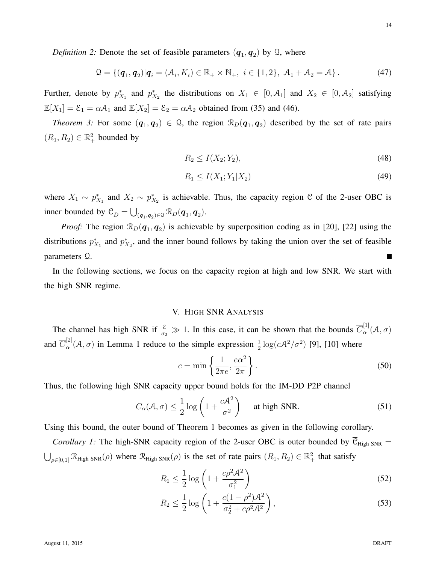$$
\mathcal{Q} = \{(\boldsymbol{q}_1, \boldsymbol{q}_2)|\boldsymbol{q}_i = (\mathcal{A}_i, K_i) \in \mathbb{R}_+ \times \mathbb{N}_+, \ i \in \{1, 2\}, \ \mathcal{A}_1 + \mathcal{A}_2 = \mathcal{A}\}.
$$
 (47)

Further, denote by  $p_{X_1}^*$  and  $p_{X_2}^*$  the distributions on  $X_1 \in [0, \mathcal{A}_1]$  and  $X_2 \in [0, \mathcal{A}_2]$  satisfying  $\mathbb{E}[X_1] = \mathcal{E}_1 = \alpha \mathcal{A}_1$  and  $\mathbb{E}[X_2] = \mathcal{E}_2 = \alpha \mathcal{A}_2$  obtained from (35) and (46).

*Theorem 3:* For some  $(q_1, q_2) \in \Omega$ , the region  $\mathcal{R}_D(q_1, q_2)$  described by the set of rate pairs  $(R_1, R_2) \in \mathbb{R}^2_+$  bounded by

$$
R_2 \le I(X_2; Y_2),\tag{48}
$$

$$
R_1 \le I(X_1; Y_1 | X_2) \tag{49}
$$

where  $X_1 \sim p_{X_1}^*$  and  $X_2 \sim p_{X_2}^*$  is achievable. Thus, the capacity region C of the 2-user OBC is inner bounded by  $\underline{\mathcal{C}}_D = \bigcup_{(\boldsymbol{q}_1,\boldsymbol{q}_2)\in\mathcal{Q}} \mathcal{R}_D(\boldsymbol{q}_1,\boldsymbol{q}_2).$ 

*Proof:* The region  $\mathcal{R}_D(\mathbf{q}_1, \mathbf{q}_2)$  is achievable by superposition coding as in [20], [22] using the distributions  $p_{X_1}^*$  and  $p_{X_2}^*$ , and the inner bound follows by taking the union over the set of feasible parameters Q.

In the following sections, we focus on the capacity region at high and low SNR. We start with the high SNR regime.

# V. HIGH SNR ANALYSIS

The channel has high SNR if  $\frac{\varepsilon}{\sigma_2} \gg 1$ . In this case, it can be shown that the bounds  $\overline{C}_{\alpha}^{[1]}$  $_{\alpha}^{11}(\mathcal{A},\sigma)$ and  $\overline{C}_{\alpha}^{[2]}$  $\frac{d^{2}}{\alpha}$ (*A*, *σ*) in Lemma 1 reduce to the simple expression  $\frac{1}{2}$  log(*cA*<sup>2</sup>/ $\sigma$ <sup>2</sup>) [9], [10] where

$$
c = \min\left\{\frac{1}{2\pi e}, \frac{e\alpha^2}{2\pi}\right\}.
$$
\n(50)

Thus, the following high SNR capacity upper bound holds for the IM-DD P2P channel

$$
C_{\alpha}(\mathcal{A}, \sigma) \le \frac{1}{2} \log \left( 1 + \frac{c \mathcal{A}^2}{\sigma^2} \right) \quad \text{at high SNR.} \tag{51}
$$

Using this bound, the outer bound of Theorem 1 becomes as given in the following corollary.

*Corollary 1:* The high-SNR capacity region of the 2-user OBC is outer bounded by  $\overline{C}_{\text{High SNR}} =$  $\bigcup_{\rho \in [0,1]} \overline{\mathcal{R}}_{\text{High SNR}}(\rho)$  where  $\overline{\mathcal{R}}_{\text{High SNR}}(\rho)$  is the set of rate pairs  $(R_1, R_2) \in \mathbb{R}^2_+$  that satisfy

$$
R_1 \le \frac{1}{2} \log \left( 1 + \frac{c \rho^2 \mathcal{A}^2}{\sigma_1^2} \right) \tag{52}
$$

$$
R_2 \le \frac{1}{2} \log \left( 1 + \frac{c(1 - \rho^2) \mathcal{A}^2}{\sigma_2^2 + c\rho^2 \mathcal{A}^2} \right),\tag{53}
$$

14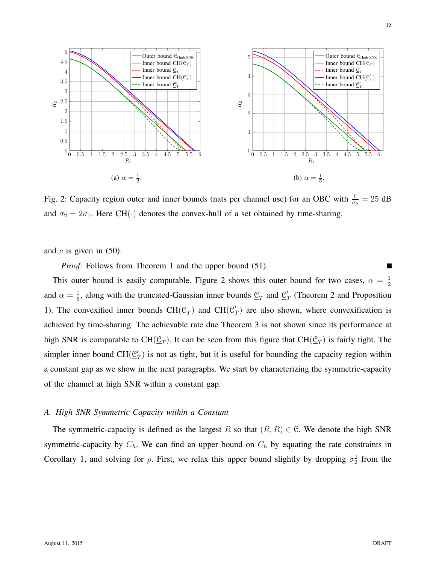

Fig. 2: Capacity region outer and inner bounds (nats per channel use) for an OBC with  $\frac{\varepsilon}{\sigma_2} = 25$  dB and  $\sigma_2 = 2\sigma_1$ . Here CH(·) denotes the convex-hull of a set obtained by time-sharing.

and  $c$  is given in  $(50)$ .

*Proof:* Follows from Theorem 1 and the upper bound (51).

This outer bound is easily computable. Figure 2 shows this outer bound for two cases,  $\alpha = \frac{1}{2}$ 2 and  $\alpha = \frac{1}{5}$  $\frac{1}{5}$ , along with the truncated-Gaussian inner bounds  $\underline{\mathcal{C}}_T$  and  $\underline{\mathcal{C}}'_1$  $T_T$  (Theorem 2 and Proposition 1). The convexified inner bounds  $CH(\underline{\mathcal{C}}_T)$  and  $CH(\underline{\mathcal{C}}_T')$  $T(T)$  are also shown, where convexification is achieved by time-sharing. The achievable rate due Theorem 3 is not shown since its performance at high SNR is comparable to CH $(\underline{C}_T)$ . It can be seen from this figure that CH $(\underline{C}_T)$  is fairly tight. The simpler inner bound  $CH(\underline{\mathcal{C}}_2)$  $T(T)$  is not as tight, but it is useful for bounding the capacity region within a constant gap as we show in the next paragraphs. We start by characterizing the symmetric-capacity of the channel at high SNR within a constant gap.

# *A. High SNR Symmetric Capacity within a Constant*

The symmetric-capacity is defined as the largest R so that  $(R, R) \in \mathcal{C}$ . We denote the high SNR symmetric-capacity by  $C_h$ . We can find an upper bound on  $C_h$  by equating the rate constraints in Corollary 1, and solving for  $\rho$ . First, we relax this upper bound slightly by dropping  $\sigma_2^2$  from the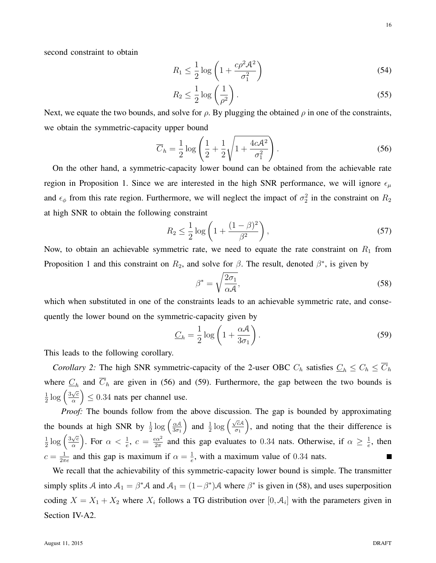second constraint to obtain

$$
R_1 \le \frac{1}{2} \log \left( 1 + \frac{c \rho^2 \mathcal{A}^2}{\sigma_1^2} \right) \tag{54}
$$

$$
R_2 \le \frac{1}{2} \log \left( \frac{1}{\rho^2} \right). \tag{55}
$$

Next, we equate the two bounds, and solve for  $\rho$ . By plugging the obtained  $\rho$  in one of the constraints, we obtain the symmetric-capacity upper bound

$$
\overline{C}_h = \frac{1}{2} \log \left( \frac{1}{2} + \frac{1}{2} \sqrt{1 + \frac{4c\mathcal{A}^2}{\sigma_1^2}} \right). \tag{56}
$$

On the other hand, a symmetric-capacity lower bound can be obtained from the achievable rate region in Proposition 1. Since we are interested in the high SNR performance, we will ignore  $\epsilon_{\mu}$ and  $\epsilon_{\phi}$  from this rate region. Furthermore, we will neglect the impact of  $\sigma_2^2$  in the constraint on  $R_2$ at high SNR to obtain the following constraint

$$
R_2 \le \frac{1}{2} \log \left( 1 + \frac{(1 - \beta)^2}{\beta^2} \right),\tag{57}
$$

Now, to obtain an achievable symmetric rate, we need to equate the rate constraint on  $R_1$  from Proposition 1 and this constraint on  $R_2$ , and solve for  $\beta$ . The result, denoted  $\beta^*$ , is given by

$$
\beta^* = \sqrt{\frac{2\sigma_1}{\alpha \mathcal{A}}},\tag{58}
$$

which when substituted in one of the constraints leads to an achievable symmetric rate, and consequently the lower bound on the symmetric-capacity given by

$$
\underline{C}_h = \frac{1}{2} \log \left( 1 + \frac{\alpha \mathcal{A}}{3\sigma_1} \right). \tag{59}
$$

This leads to the following corollary.

*Corollary 2:* The high SNR symmetric-capacity of the 2-user OBC  $C_h$  satisfies  $C_h \le C_h \le \overline{C}_h$ where  $C_h$  and  $C_h$  are given in (56) and (59). Furthermore, the gap between the two bounds is 1  $\frac{1}{2} \log \left( \frac{3\sqrt{c}}{\alpha} \right)$  $\left(\frac{\sqrt{c}}{\alpha}\right) \leq 0.34$  nats per channel use.

*Proof:* The bounds follow from the above discussion. The gap is bounded by approximating ) and  $\frac{1}{2} \log \left( \frac{\sqrt{c}A}{\sigma_1} \right)$ the bounds at high SNR by  $\frac{1}{2} \log \left( \frac{\alpha A}{3 \sigma_1} \right)$  , and noting that the their difference is  $3\sigma_1$  $\sigma_1$  $rac{1}{2} \log \left( \frac{3\sqrt{c}}{\alpha} \right)$  $\frac{\sqrt{c}}{\alpha}$ ). For  $\alpha < \frac{1}{e}$ ,  $c = \frac{e\alpha^2}{2\pi}$ 1  $\frac{2\alpha^2}{2\pi}$  and this gap evaluates to 0.34 nats. Otherwise, if  $\alpha \ge \frac{1}{e}$  $\frac{1}{e}$ , then  $c=\frac{1}{2\pi}$  $\frac{1}{2\pi e}$  and this gap is maximum if  $\alpha = \frac{1}{e}$  $\frac{1}{e}$ , with a maximum value of 0.34 nats.  $\blacksquare$ 

We recall that the achievability of this symmetric-capacity lower bound is simple. The transmitter simply splits A into  $A_1 = \beta^* A$  and  $A_1 = (1 - \beta^*) A$  where  $\beta^*$  is given in (58), and uses superposition coding  $X = X_1 + X_2$  where  $X_i$  follows a TG distribution over  $[0, A_i]$  with the parameters given in Section IV-A2.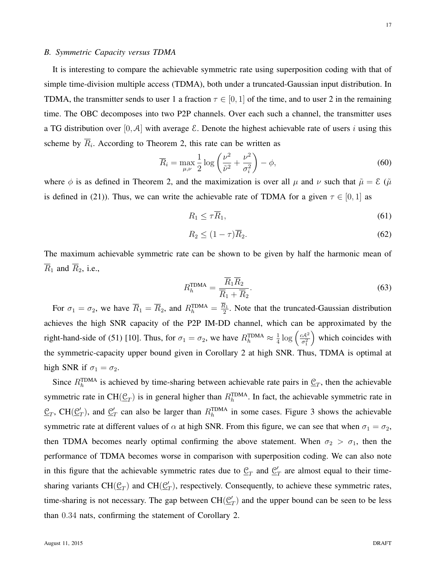# *B. Symmetric Capacity versus TDMA*

It is interesting to compare the achievable symmetric rate using superposition coding with that of simple time-division multiple access (TDMA), both under a truncated-Gaussian input distribution. In TDMA, the transmitter sends to user 1 a fraction  $\tau \in [0,1]$  of the time, and to user 2 in the remaining time. The OBC decomposes into two P2P channels. Over each such a channel, the transmitter uses a TG distribution over [0, A] with average  $\mathcal E$ . Denote the highest achievable rate of users i using this scheme by  $R_i$ . According to Theorem 2, this rate can be written as

$$
\overline{R}_i = \max_{\mu,\nu} \frac{1}{2} \log \left( \frac{\nu^2}{\tilde{\nu}^2} + \frac{\nu^2}{\sigma_i^2} \right) - \phi,\tag{60}
$$

where  $\phi$  is as defined in Theorem 2, and the maximization is over all  $\mu$  and  $\nu$  such that  $\tilde{\mu} = \mathcal{E}$  ( $\tilde{\mu}$ is defined in (21)). Thus, we can write the achievable rate of TDMA for a given  $\tau \in [0, 1]$  as

$$
R_1 \leq \tau \overline{R}_1,\tag{61}
$$

$$
R_2 \le (1 - \tau)\overline{R}_2. \tag{62}
$$

The maximum achievable symmetric rate can be shown to be given by half the harmonic mean of  $\overline{R}_1$  and  $\overline{R}_2$ , i.e.,

$$
R_h^{\text{TDMA}} = \frac{R_1 R_2}{\overline{R}_1 + \overline{R}_2}.
$$
\n(63)

For  $\sigma_1 = \sigma_2$ , we have  $\overline{R}_1 = \overline{R}_2$ , and  $R_h^{\text{TDMA}} = \frac{R_1}{2}$  $\frac{\tau_1}{2}$ . Note that the truncated-Gaussian distribution achieves the high SNR capacity of the P2P IM-DD channel, which can be approximated by the right-hand-side of (51) [10]. Thus, for  $\sigma_1 = \sigma_2$ , we have  $R_h^{\text{TDMA}} \approx \frac{1}{4}$  $rac{1}{4} \log \left( \frac{cA^2}{\sigma_1^2} \right)$  $\overline{\sigma_1^2}$  which coincides with the symmetric-capacity upper bound given in Corollary 2 at high SNR. Thus, TDMA is optimal at high SNR if  $\sigma_1 = \sigma_2$ .

Since  $R_h^{\text{TDMA}}$  is achieved by time-sharing between achievable rate pairs in  $\underline{C}_T$ , then the achievable symmetric rate in CH( $\underline{\mathfrak{C}}_T$ ) is in general higher than  $R_h^{\text{TDMA}}$ . In fact, the achievable symmetric rate in  $\underline{\mathfrak{C}}_T$ ,  $\mathrm{CH}(\underline{\mathfrak{C}}_T')$  $T'_{T}$ ), and  $\underline{\mathcal{C}}'_{T}$  $T_T$  can also be larger than  $R_h^{\text{TDMA}}$  in some cases. Figure 3 shows the achievable symmetric rate at different values of  $\alpha$  at high SNR. From this figure, we can see that when  $\sigma_1 = \sigma_2$ , then TDMA becomes nearly optimal confirming the above statement. When  $\sigma_2 > \sigma_1$ , then the performance of TDMA becomes worse in comparison with superposition coding. We can also note in this figure that the achievable symmetric rates due to  $\underline{\mathcal{C}}_T$  and  $\underline{\mathcal{C}}'_T$  $T_T$  are almost equal to their timesharing variants  $\text{CH}(\underline{\mathcal{C}}_T)$  and  $\text{CH}(\underline{\mathcal{C}}_T')$  $T_T$ ), respectively. Consequently, to achieve these symmetric rates, time-sharing is not necessary. The gap between  $CH(\mathcal{Q})$  $T(T)$  and the upper bound can be seen to be less than 0.34 nats, confirming the statement of Corollary 2.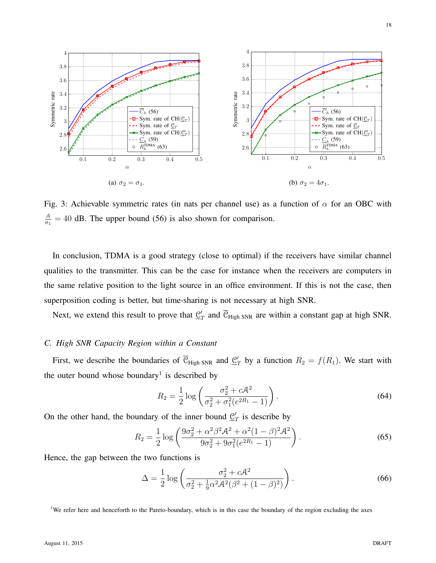

Fig. 3: Achievable symmetric rates (in nats per channel use) as a function of  $\alpha$  for an OBC with A  $\frac{A}{\sigma_1}$  = 40 dB. The upper bound (56) is also shown for comparison.

In conclusion, TDMA is a good strategy (close to optimal) if the receivers have similar channel qualities to the transmitter. This can be the case for instance when the receivers are computers in the same relative position to the light source in an office environment. If this is not the case, then superposition coding is better, but time-sharing is not necessary at high SNR.

Next, we extend this result to prove that  $\underline{\mathcal{C}}_1$  $T_T'$  and  $C_{\text{High SNR}}$  are within a constant gap at high SNR.

### *C. High SNR Capacity Region within a Constant*

First, we describe the boundaries of  $\overline{\mathcal{C}}_{\text{High SNR}}$  and  $\underline{\mathcal{C}}'_T$  by a function  $R_2 = f(R_1)$ . We start with the outer bound whose boundary<sup>1</sup> is described by

$$
R_2 = \frac{1}{2} \log \left( \frac{\sigma_2^2 + c \mathcal{A}^2}{\sigma_2^2 + \sigma_1^2 (e^{2R_1} - 1)} \right).
$$
 (64)

On the other hand, the boundary of the inner bound  $\underline{\mathcal{C}}'$  $T$  is describe by

$$
R_2 = \frac{1}{2} \log \left( \frac{9\sigma_2^2 + \alpha^2 \beta^2 \mathcal{A}^2 + \alpha^2 (1 - \beta)^2 \mathcal{A}^2}{9\sigma_2^2 + 9\sigma_1^2 (e^{2R_1} - 1)} \right).
$$
 (65)

Hence, the gap between the two functions is

$$
\Delta = \frac{1}{2} \log \left( \frac{\sigma_2^2 + c \mathcal{A}^2}{\sigma_2^2 + \frac{1}{9} \alpha^2 \mathcal{A}^2 (\beta^2 + (1 - \beta)^2)} \right).
$$
 (66)

<sup>&</sup>lt;sup>1</sup>We refer here and henceforth to the Pareto-boundary, which is in this case the boundary of the region excluding the axes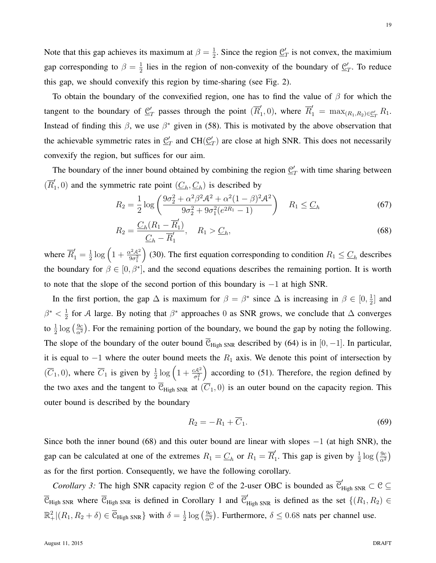Note that this gap achieves its maximum at  $\beta = \frac{1}{2}$  $\frac{1}{2}$ . Since the region  $\underline{\mathcal{C}}_1$  $T_T$  is not convex, the maximium gap corresponding to  $\beta = \frac{1}{2}$  $\frac{1}{2}$  lies in the region of non-convexity of the boundary of  $\underline{\mathcal{C}}_2$  $T$ . To reduce this gap, we should convexify this region by time-sharing (see Fig. 2).

To obtain the boundary of the convexified region, one has to find the value of  $\beta$  for which the tangent to the boundary of  $\underline{\mathcal{C}}'_T$  passes through the point  $(\overline{R}'_1)$  $T_1$ , 0), where  $\overline{R}_1' = \max_{(R_1, R_2) \in \underline{\mathcal{C}}_T'} R_1$ . Instead of finding this  $\beta$ , we use  $\beta^*$  given in (58). This is motivated by the above observation that the achievable symmetric rates in  $\underline{C}'_1$  $T_T'$  and  $CH(\underline{\mathcal{C}}_T')$  $T(T)$  are close at high SNR. This does not necessarily convexify the region, but suffices for our aim.

The boundary of the inner bound obtained by combining the region  $\underline{\mathcal{C}}_T'$  with time sharing between  $(\overline{R}'_1)$  $(1, 0)$  and the symmetric rate point  $(\underline{C}_h, \underline{C}_h)$  is described by

$$
R_2 = \frac{1}{2} \log \left( \frac{9\sigma_2^2 + \alpha^2 \beta^2 \mathcal{A}^2 + \alpha^2 (1 - \beta)^2 \mathcal{A}^2}{9\sigma_2^2 + 9\sigma_1^2 (e^{2R_1} - 1)} \right) \quad R_1 \leq \underline{C}_h \tag{67}
$$

$$
R_2 = \frac{\underline{C}_h (R_1 - \overline{R}'_1)}{\underline{C}_h - \overline{R}'_1}, \quad R_1 > \underline{C}_h,
$$
\n(68)

where  $\overline{R}'_1 = \frac{1}{2}$  $\frac{1}{2} \log \left( 1 + \frac{\alpha^2 \mathcal{A}^2}{9 \sigma_1^2} \right)$  $9\sigma_1^2$ (30). The first equation corresponding to condition  $R_1 \leq C_h$  describes the boundary for  $\beta \in [0, \beta^*]$ , and the second equations describes the remaining portion. It is worth to note that the slope of the second portion of this boundary is −1 at high SNR.

In the first portion, the gap  $\Delta$  is maximum for  $\beta = \beta^*$  since  $\Delta$  is increasing in  $\beta \in [0, \frac{1}{2}]$  $\frac{1}{2}$  and  $\beta^* < \frac{1}{2}$  $\frac{1}{2}$  for A large. By noting that  $\beta^*$  approaches 0 as SNR grows, we conclude that  $\Delta$  converges to  $\frac{1}{2} \log \left( \frac{9c}{\alpha^2} \right)$  $\frac{9c}{\alpha^2}$ ). For the remaining portion of the boundary, we bound the gap by noting the following. The slope of the boundary of the outer bound  $\overline{C}_{High SNR}$  described by (64) is in [0, -1]. In particular, it is equal to  $-1$  where the outer bound meets the  $R_1$  axis. We denote this point of intersection by  $(\overline{C}_1, 0)$ , where  $\overline{C}_1$  is given by  $\frac{1}{2} \log \left(1 + \frac{cA^2}{\sigma_1^2}\right)$ ) according to (51). Therefore, the region defined by the two axes and the tangent to  $\overline{\mathcal{C}}_{\text{High SNR}}$  at  $(\overline{C}_1, 0)$  is an outer bound on the capacity region. This outer bound is described by the boundary

$$
R_2 = -R_1 + \overline{C}_1. \tag{69}
$$

Since both the inner bound (68) and this outer bound are linear with slopes  $-1$  (at high SNR), the gap can be calculated at one of the extremes  $R_1 = \underline{C}_h$  or  $R_1 = \overline{R}'_1$ 1. This gap is given by  $\frac{1}{2} \log \left( \frac{9c}{\alpha^2} \right)$  $\frac{9c}{\alpha^2}$ as for the first portion. Consequently, we have the following corollary.

*Corollary 3:* The high SNR capacity region C of the 2-user OBC is bounded as  $\overline{C}_{High SNR}' \subset C \subseteq$  $\overline{\mathcal{C}}$ <sub>High SNR</sub> where  $\overline{\mathcal{C}}$ <sub>High</sub> <sub>SNR</sub> is defined in Corollary 1 and  $\overline{\mathcal{C}}'$ <sub>High SNR</sub> is defined as the set  $\{(R_1, R_2) \in$  $\mathbb{R}^2_+ | (R_1,R_2+\delta) \in \overline{\mathcal{C}}_{\text{High SNR}} \}$  with  $\delta = \frac{1}{2}$  $\frac{1}{2}\log\left(\frac{9c}{\alpha^2}\right)$  $\frac{9c}{\alpha^2}$ ). Furthermore,  $\delta \le 0.68$  nats per channel use.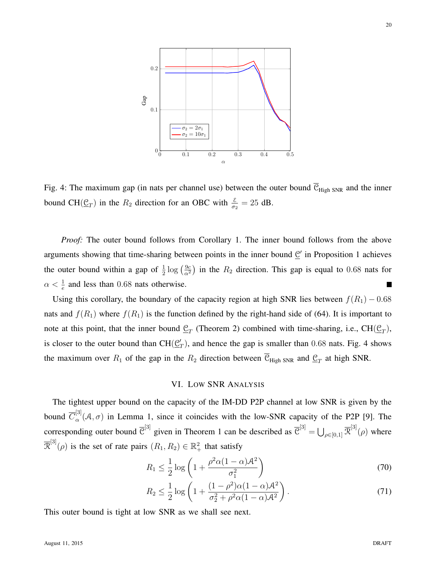

Fig. 4: The maximum gap (in nats per channel use) between the outer bound  $\overline{C}_{High SNR}$  and the inner bound CH( $\mathcal{C}_T$ ) in the  $R_2$  direction for an OBC with  $\frac{\varepsilon}{\sigma_2} = 25$  dB.

*Proof:* The outer bound follows from Corollary 1. The inner bound follows from the above arguments showing that time-sharing between points in the inner bound  $\underline{\mathcal{C}}'$  in Proposition 1 achieves the outer bound within a gap of  $\frac{1}{2} \log \left( \frac{9c}{\alpha^2} \right)$  $\frac{9c}{\alpha^2}$ ) in the  $R_2$  direction. This gap is equal to 0.68 nats for  $\alpha < \frac{1}{e}$  and less than 0.68 nats otherwise. П

Using this corollary, the boundary of the capacity region at high SNR lies between  $f(R_1) - 0.68$ nats and  $f(R_1)$  where  $f(R_1)$  is the function defined by the right-hand side of (64). It is important to note at this point, that the inner bound  $\underline{\mathcal{C}}_T$  (Theorem 2) combined with time-sharing, i.e.,  $CH(\underline{\mathcal{C}}_T)$ , is closer to the outer bound than  $CH(\underline{\mathcal{C}}')$  $T_T$ ), and hence the gap is smaller than 0.68 nats. Fig. 4 shows the maximum over  $R_1$  of the gap in the  $R_2$  direction between  $C_{High SNR}$  and  $C_T$  at high SNR.

# VI. LOW SNR ANALYSIS

The tightest upper bound on the capacity of the IM-DD P2P channel at low SNR is given by the bound  $\overline{C}_{\alpha}^{[3]}$  $\alpha_{\alpha}^{[0]}(\mathcal{A}, \sigma)$  in Lemma 1, since it coincides with the low-SNR capacity of the P2P [9]. The corresponding outer bound  $\overline{C}^{[3]}$  given in Theorem 1 can be described as  $\overline{C}^{[3]} = \bigcup_{\rho \in [0,1]} \overline{\mathcal{R}}^{[3]}(\rho)$  where  $\overline{\mathcal{R}}^{[3]}(\rho)$  is the set of rate pairs  $(R_1, R_2) \in \mathbb{R}_+^2$  that satisfy

$$
R_1 \le \frac{1}{2} \log \left( 1 + \frac{\rho^2 \alpha (1 - \alpha) \mathcal{A}^2}{\sigma_1^2} \right) \tag{70}
$$

$$
R_2 \le \frac{1}{2} \log \left( 1 + \frac{(1 - \rho^2)\alpha (1 - \alpha)\mathcal{A}^2}{\sigma_2^2 + \rho^2 \alpha (1 - \alpha)\mathcal{A}^2} \right). \tag{71}
$$

This outer bound is tight at low SNR as we shall see next.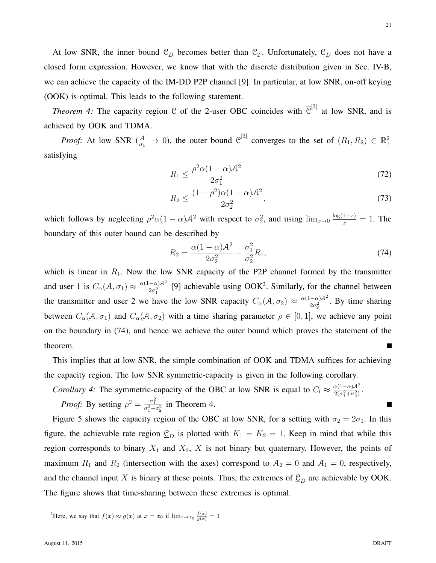At low SNR, the inner bound  $\underline{\mathcal{C}}_D$  becomes better than  $\underline{\mathcal{C}}_T$ . Unfortunately,  $\underline{\mathcal{C}}_D$  does not have a

closed form expression. However, we know that with the discrete distribution given in Sec. IV-B, we can achieve the capacity of the IM-DD P2P channel [9]. In particular, at low SNR, on-off keying (OOK) is optimal. This leads to the following statement.

*Theorem 4:* The capacity region C of the 2-user OBC coincides with  $\overline{C}^{[3]}$  at low SNR, and is achieved by OOK and TDMA.

*Proof:* At low SNR ( $\frac{A}{\sigma_1} \to 0$ ), the outer bound  $\overline{\mathcal{C}}^{[3]}$  converges to the set of  $(R_1, R_2) \in \mathbb{R}^2_+$ satisfying

$$
R_1 \le \frac{\rho^2 \alpha (1 - \alpha) \mathcal{A}^2}{2\sigma_1^2} \tag{72}
$$

$$
R_2 \le \frac{(1 - \rho^2)\alpha (1 - \alpha)\mathcal{A}^2}{2\sigma_2^2},\tag{73}
$$

which follows by neglecting  $\rho^2 \alpha (1 - \alpha) A^2$  with respect to  $\sigma_2^2$ , and using  $\lim_{x\to 0} \frac{\log(1+x)}{x} = 1$ . The boundary of this outer bound can be described by

$$
R_2 = \frac{\alpha (1 - \alpha) \mathcal{A}^2}{2 \sigma_2^2} - \frac{\sigma_1^2}{\sigma_2^2} R_1,\tag{74}
$$

which is linear in  $R_1$ . Now the low SNR capacity of the P2P channel formed by the transmitter and user 1 is  $C_{\alpha}(\mathcal{A}, \sigma_1) \approx \frac{\alpha(1-\alpha)\mathcal{A}^2}{2\sigma^2}$  $\frac{(-\alpha)A^2}{2\sigma_1^2}$  [9] achievable using OOK<sup>2</sup>. Similarly, for the channel between the transmitter and user 2 we have the low SNR capacity  $C_{\alpha}(\mathcal{A}, \sigma_2) \approx \frac{\alpha(1-\alpha)\mathcal{A}^2}{2\sigma^2}$  $\frac{(-\alpha)\mathcal{A}^2}{2\sigma_2^2}$ . By time sharing between  $C_{\alpha}(\mathcal{A}, \sigma_1)$  and  $C_{\alpha}(\mathcal{A}, \sigma_2)$  with a time sharing parameter  $\rho \in [0, 1]$ , we achieve any point on the boundary in (74), and hence we achieve the outer bound which proves the statement of the theorem.

This implies that at low SNR, the simple combination of OOK and TDMA suffices for achieving the capacity region. The low SNR symmetric-capacity is given in the following corollary.

*Corollary 4:* The symmetric-capacity of the OBC at low SNR is equal to  $C_l \approx \frac{\alpha(1-\alpha)A^2}{2(\sigma^2+\sigma^2)}$  $\frac{\alpha(1-\alpha)\mathcal{A}^2}{2(\sigma_1^2+\sigma_2^2)}$ .

*Proof:* By setting  $\rho^2 = \frac{\sigma_1^2}{\sigma_1^2 + \sigma_2^2}$  in Theorem 4.

Figure 5 shows the capacity region of the OBC at low SNR, for a setting with  $\sigma_2 = 2\sigma_1$ . In this figure, the achievable rate region  $\underline{\mathcal{C}}_D$  is plotted with  $K_1 = K_2 = 1$ . Keep in mind that while this region corresponds to binary  $X_1$  and  $X_2$ , X is not binary but quaternary. However, the points of maximum  $R_1$  and  $R_2$  (intersection with the axes) correspond to  $A_2 = 0$  and  $A_1 = 0$ , respectively, and the channel input X is binary at these points. Thus, the extremes of  $\underline{\mathcal{C}}_D$  are achievable by OOK. The figure shows that time-sharing between these extremes is optimal.

<sup>2</sup>Here, we say that  $f(x) \approx g(x)$  at  $x = x_0$  if  $\lim_{x \to x_0} \frac{f(x)}{g(x)} = 1$ 

21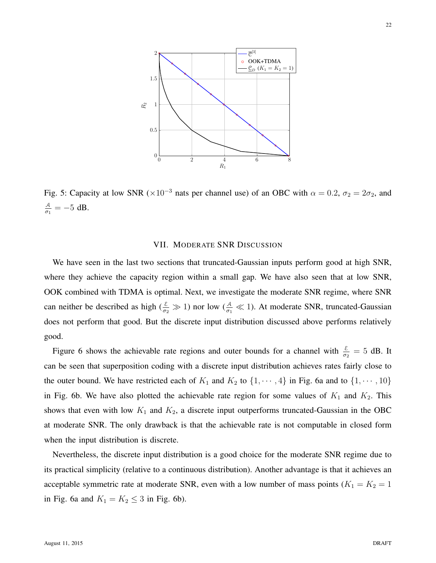

Fig. 5: Capacity at low SNR ( $\times 10^{-3}$  nats per channel use) of an OBC with  $\alpha = 0.2$ ,  $\sigma_2 = 2\sigma_2$ , and A  $\frac{\mathcal{A}}{\sigma_1} = -5$  dB.

#### VII. MODERATE SNR DISCUSSION

We have seen in the last two sections that truncated-Gaussian inputs perform good at high SNR, where they achieve the capacity region within a small gap. We have also seen that at low SNR, OOK combined with TDMA is optimal. Next, we investigate the moderate SNR regime, where SNR can neither be described as high  $(\frac{\varepsilon}{\sigma_2} \gg 1)$  nor low  $(\frac{A}{\sigma_1} \ll 1)$ . At moderate SNR, truncated-Gaussian does not perform that good. But the discrete input distribution discussed above performs relatively good.

Figure 6 shows the achievable rate regions and outer bounds for a channel with  $\frac{\varepsilon}{\sigma_2} = 5$  dB. It can be seen that superposition coding with a discrete input distribution achieves rates fairly close to the outer bound. We have restricted each of  $K_1$  and  $K_2$  to  $\{1, \dots, 4\}$  in Fig. 6a and to  $\{1, \dots, 10\}$ in Fig. 6b. We have also plotted the achievable rate region for some values of  $K_1$  and  $K_2$ . This shows that even with low  $K_1$  and  $K_2$ , a discrete input outperforms truncated-Gaussian in the OBC at moderate SNR. The only drawback is that the achievable rate is not computable in closed form when the input distribution is discrete.

Nevertheless, the discrete input distribution is a good choice for the moderate SNR regime due to its practical simplicity (relative to a continuous distribution). Another advantage is that it achieves an acceptable symmetric rate at moderate SNR, even with a low number of mass points ( $K_1 = K_2 = 1$ ) in Fig. 6a and  $K_1 = K_2 \leq 3$  in Fig. 6b).

22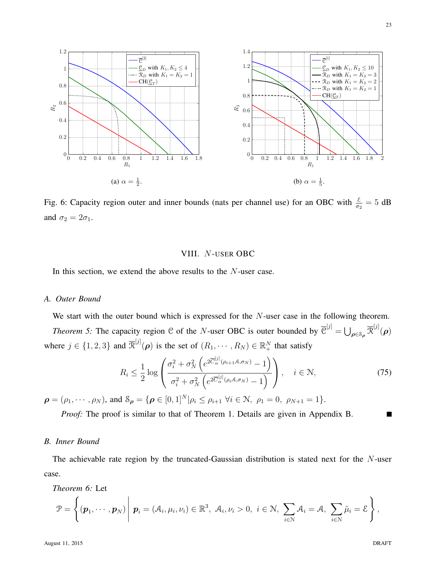

Fig. 6: Capacity region outer and inner bounds (nats per channel use) for an OBC with  $\frac{\varepsilon}{\sigma_2} = 5$  dB and  $\sigma_2 = 2\sigma_1$ .

# VIII. N-USER OBC

In this section, we extend the above results to the N-user case.

# *A. Outer Bound*

We start with the outer bound which is expressed for the N-user case in the following theorem.

*Theorem 5:* The capacity region C of the *N*-user OBC is outer bounded by  $\overline{C}^{[j]} = \bigcup_{\rho \in S_\rho} \overline{\mathcal{R}}^{[j]}(\rho)$ where  $j \in \{1, 2, 3\}$  and  $\overline{\mathcal{R}}^{[j]}(\rho)$  is the set of  $(R_1, \dots, R_N) \in \mathbb{R}^N_+$  that satisfy

$$
R_i \leq \frac{1}{2} \log \left( \frac{\sigma_i^2 + \sigma_N^2 \left( e^{2 \overline{C}_{\alpha}^{[j]}(\rho_{i+1} A, \sigma_N)} - 1 \right)}{\sigma_i^2 + \sigma_N^2 \left( e^{2 \overline{C}_{\alpha}^{[j]}(\rho_i A, \sigma_N)} - 1 \right)} \right), \quad i \in \mathbb{N},
$$
\n(75)

 $\rho = (\rho_1, \cdots, \rho_N)$ , and  $\mathcal{S}_{\rho} = {\rho \in [0, 1]^N | \rho_i \le \rho_{i+1} \ \forall i \in \mathcal{N}, \ \rho_1 = 0, \ \rho_{N+1} = 1}.$ 

*Proof:* The proof is similar to that of Theorem 1. Details are given in Appendix B.

# *B. Inner Bound*

The achievable rate region by the truncated-Gaussian distribution is stated next for the  $N$ -user case.

### *Theorem 6:* Let

$$
\mathcal{P} = \left\{ (\boldsymbol{p}_1, \cdots, \boldsymbol{p}_N) \middle| \ \boldsymbol{p}_i = (\mathcal{A}_i, \mu_i, \nu_i) \in \mathbb{R}^3, \ \mathcal{A}_i, \nu_i > 0, \ i \in \mathcal{N}, \ \sum_{i \in \mathcal{N}} \mathcal{A}_i = \mathcal{A}, \ \sum_{i \in \mathcal{N}} \tilde{\mu}_i = \mathcal{E} \right\},\
$$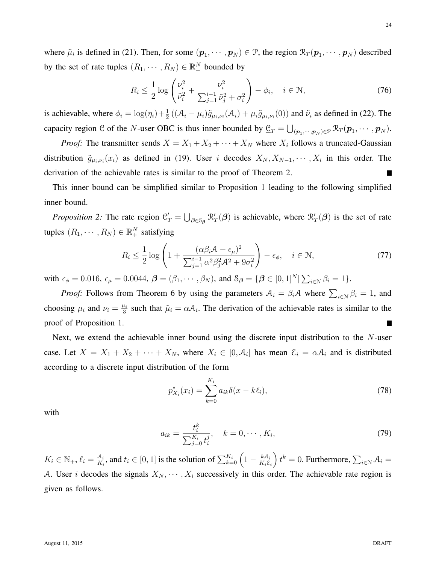where  $\tilde{\mu}_i$  is defined in (21). Then, for some  $(p_1, \dots, p_N) \in \mathcal{P}$ , the region  $\mathcal{R}_T(p_1, \dots, p_N)$  described by the set of rate tuples  $(R_1, \dots, R_N) \in \mathbb{R}_+^N$  bounded by

$$
R_i \le \frac{1}{2} \log \left( \frac{\nu_i^2}{\tilde{\nu}_i^2} + \frac{\nu_i^2}{\sum_{j=1}^{i-1} \tilde{\nu}_j^2 + \sigma_i^2} \right) - \phi_i, \quad i \in \mathbb{N}, \tag{76}
$$

is achievable, where  $\phi_i = \log(\eta_i) + \frac{1}{2} ((A_i - \mu_i)\tilde{g}_{\mu_i,\nu_i}(A_i) + \mu_i \tilde{g}_{\mu_i,\nu_i}(0))$  and  $\tilde{\nu}_i$  as defined in (22). The capacity region C of the N-user OBC is thus inner bounded by  $\underline{C}_T = \bigcup_{(\bm{p}_1,\cdots,\bm{p}_N)\in\mathcal{P}} \mathcal{R}_T(\bm{p}_1,\cdots,\bm{p}_N)$ .

*Proof:* The transmitter sends  $X = X_1 + X_2 + \cdots + X_N$  where  $X_i$  follows a truncated-Gaussian distribution  $\tilde{g}_{\mu_i,\nu_i}(x_i)$  as defined in (19). User i decodes  $X_N, X_{N-1}, \dots, X_i$  in this order. The derivation of the achievable rates is similar to the proof of Theorem 2.

This inner bound can be simplified similar to Proposition 1 leading to the following simplified inner bound.

*Proposition 2:* The rate region  $\underline{\mathcal{C}}_T' = \bigcup_{\beta \in \mathcal{S}_{\beta}} \mathcal{R}_T'(\beta)$  is achievable, where  $\mathcal{R}_T'(\beta)$  is the set of rate tuples  $(R_1, \dots, R_N) \in \mathbb{R}^N_+$  satisfying

$$
R_i \le \frac{1}{2} \log \left( 1 + \frac{(\alpha \beta_i \mathcal{A} - \epsilon_\mu)^2}{\sum_{j=1}^{i-1} \alpha^2 \beta_j^2 \mathcal{A}^2 + 9\sigma_i^2} \right) - \epsilon_\phi, \quad i \in \mathbb{N},\tag{77}
$$

with  $\epsilon_{\phi} = 0.016$ ,  $\epsilon_{\mu} = 0.0044$ ,  $\boldsymbol{\beta} = (\beta_1, \cdots, \beta_N)$ , and  $\delta_{\boldsymbol{\beta}} = {\boldsymbol{\beta} \in [0, 1]^N | \sum_{i \in \mathcal{N}} \beta_i = 1}.$ 

*Proof:* Follows from Theorem 6 by using the parameters  $A_i = \beta_i A$  where  $\sum_{i \in \mathbb{N}} \beta_i = 1$ , and choosing  $\mu_i$  and  $\nu_i = \frac{\mu_i}{3}$  $\frac{u_i}{3}$  such that  $\tilde{\mu}_i = \alpha A_i$ . The derivation of the achievable rates is similar to the proof of Proposition 1. ┓

Next, we extend the achievable inner bound using the discrete input distribution to the N-user case. Let  $X = X_1 + X_2 + \cdots + X_N$ , where  $X_i \in [0, \mathcal{A}_i]$  has mean  $\mathcal{E}_i = \alpha \mathcal{A}_i$  and is distributed according to a discrete input distribution of the form

$$
p_{X_i}^*(x_i) = \sum_{k=0}^{K_i} a_{ik} \delta(x - k\ell_i),
$$
\n(78)

with

$$
a_{ik} = \frac{t_i^k}{\sum_{j=0}^{K_i} t_i^j}, \quad k = 0, \cdots, K_i,
$$
\n(79)

 $K_i \in \mathbb{N}_+, \ell_i = \frac{\mathcal{A}_i}{K_i}$  $\frac{\mathcal{A}_i}{K_i}$ , and  $t_i \in [0, 1]$  is the solution of  $\sum_{k=0}^{K_i} \left(1 - \frac{k\mathcal{A}_i}{K_i \mathcal{E}_i}\right)$  $K_i \mathcal{E}_i$  $\Big) t^k = 0.$  Furthermore,  $\sum_{i \in \mathcal{N}} \mathcal{A}_i =$ A. User i decodes the signals  $X_N, \dots, X_i$  successively in this order. The achievable rate region is given as follows.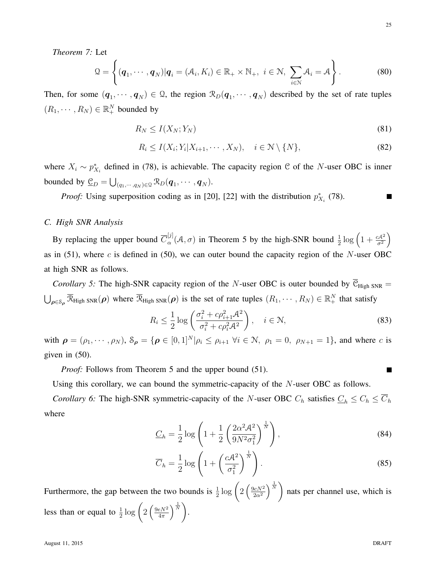$$
\mathcal{Q} = \left\{ (\boldsymbol{q}_1, \cdots, \boldsymbol{q}_N) | \boldsymbol{q}_i = (\mathcal{A}_i, K_i) \in \mathbb{R}_+ \times \mathbb{N}_+, \ i \in \mathcal{N}, \ \sum_{i \in \mathcal{N}} \mathcal{A}_i = \mathcal{A} \right\}.
$$
 (80)

Then, for some  $(q_1, \dots, q_N) \in \Omega$ , the region  $\mathcal{R}_D(q_1, \dots, q_N)$  described by the set of rate tuples  $(R_1, \dots, R_N) \in \mathbb{R}^N_+$  bounded by

$$
R_N \le I(X_N; Y_N) \tag{81}
$$

$$
R_i \le I(X_i; Y_i | X_{i+1}, \cdots, X_N), \quad i \in \mathcal{N} \setminus \{N\},\tag{82}
$$

where  $X_i \sim p_{X_i}^*$  defined in (78), is achievable. The capacity region C of the N-user OBC is inner bounded by  $\underline{\mathcal{C}}_D = \bigcup_{(q_1, \cdots, q_N) \in \mathcal{Q}} \mathcal{R}_D(\boldsymbol{q}_1, \cdots, \boldsymbol{q}_N).$ 

*Proof:* Using superposition coding as in [20], [22] with the distribution  $p_{X_i}^*$  (78).

# *C. High SNR Analysis*

By replacing the upper bound  $\overline{C}_{\alpha}^{[j]}$  $\frac{[j]}{\alpha}(\mathcal{A}, \sigma)$  in Theorem 5 by the high-SNR bound  $\frac{1}{2} \log \left(1 + \frac{cA^2}{\sigma^2}\right)$ as in (51), where c is defined in (50), we can outer bound the capacity region of the N-user OBC at high SNR as follows.

*Corollary 5:* The high-SNR capacity region of the N-user OBC is outer bounded by  $\overline{C}_{High SNR}$  =  $\bigcup_{\boldsymbol{\rho} \in \mathcal{S}_{\boldsymbol{\rho}}} \overline{\mathcal{R}}_{\text{High SNR}}(\boldsymbol{\rho})$  where  $\overline{\mathcal{R}}_{\text{High SNR}}(\boldsymbol{\rho})$  is the set of rate tuples  $(R_1, \dots, R_N) \in \mathbb{R}^N_+$  that satisfy

$$
R_i \le \frac{1}{2} \log \left( \frac{\sigma_i^2 + c \rho_{i+1}^2 \mathcal{A}^2}{\sigma_i^2 + c \rho_i^2 \mathcal{A}^2} \right), \quad i \in \mathbb{N},
$$
\n(83)

with  $\rho = (\rho_1, \dots, \rho_N)$ ,  $\delta_{\rho} = {\rho \in [0, 1]^N | \rho_i \leq \rho_{i+1} \forall i \in \mathcal{N}, \ \rho_1 = 0, \ \rho_{N+1} = 1}$ , and where c is given in (50).

*Proof:* Follows from Theorem 5 and the upper bound (51).

Using this corollary, we can bound the symmetric-capacity of the  $N$ -user OBC as follows.

*Corollary 6:* The high-SNR symmetric-capacity of the N-user OBC  $C_h$  satisfies  $\underline{C}_h \le C_h \le \overline{C}_h$ where

$$
\underline{C}_h = \frac{1}{2} \log \left( 1 + \frac{1}{2} \left( \frac{2\alpha^2 \mathcal{A}^2}{9N^2 \sigma_1^2} \right)^{\frac{1}{N}} \right),\tag{84}
$$

$$
\overline{C}_h = \frac{1}{2} \log \left( 1 + \left( \frac{cA^2}{\sigma_1^2} \right)^{\frac{1}{N}} \right). \tag{85}
$$

Furthermore, the gap between the two bounds is  $\frac{1}{2} \log \left( 2 \left( \frac{9cN^2}{2\alpha^2} \right) \right)$  $\frac{\partial cN^2}{\partial \alpha^2}$   $\Big)^{\frac{1}{N}}$ nats per channel use, which is less than or equal to  $\frac{1}{2} \log \left( 2 \left( \frac{9eN^2}{4\pi} \right) \right)$  $\left(\frac{eN^2}{4\pi}\right)^{\frac{1}{N}}$ .

П

25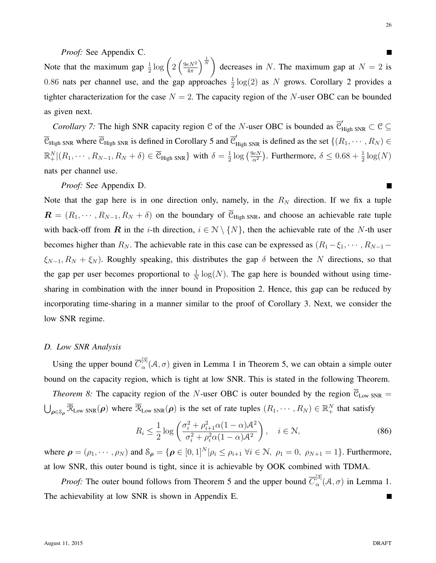# *Proof:* See Appendix C.

Note that the maximum gap  $\frac{1}{2} \log \left( 2 \left( \frac{9eN^2}{4\pi} \right) \right)$  $\left(\frac{eN^2}{4\pi}\right)^{\tfrac{1}{N}}$ decreases in N. The maximum gap at  $N = 2$  is 0.86 nats per channel use, and the gap approaches  $\frac{1}{2} \log(2)$  as N grows. Corollary 2 provides a tighter characterization for the case  $N = 2$ . The capacity region of the N-user OBC can be bounded as given next.

*Corollary 7:* The high SNR capacity region C of the N-user OBC is bounded as  $\overline{C}_{High SNR}' \subset C \subseteq$  $\overline{\mathcal{C}}_{\text{High SNR}}$  where  $\overline{\mathcal{C}}_{\text{High SNR}}$  is defined in Corollary 5 and  $\overline{\mathcal{C}}'_{\text{High SNR}}$  is defined as the set  $\{(R_1, \cdots, R_N) \in$  $\mathbb{R}^N_+ | (R_1, \cdots, R_{N-1}, R_N + \delta) \in \overline{\mathcal{C}}_{\text{High SNR}} \}$  with  $\delta = \frac{1}{2}$  $rac{1}{2} \log \left( \frac{9cN}{\alpha^2} \right)$  $\frac{\partial cN}{\partial x^2}$ ). Furthermore,  $\delta \leq 0.68 + \frac{1}{2} \log(N)$ nats per channel use.

# *Proof:* See Appendix D.

Note that the gap here is in one direction only, namely, in the  $R_N$  direction. If we fix a tuple  $\mathbf{R} = (R_1, \dots, R_{N-1}, R_N + \delta)$  on the boundary of  $\overline{C}_{\text{High SNR}}$ , and choose an achievable rate tuple with back-off from  $\mathbf R$  in the *i*-th direction,  $i \in \mathcal N \setminus \{N\}$ , then the achievable rate of the N-th user becomes higher than  $R_N$ . The achievable rate in this case can be expressed as  $(R_1 - \xi_1, \dots, R_{N-1} - \xi_N)$  $\xi_{N-1}, R_N + \xi_N$ ). Roughly speaking, this distributes the gap  $\delta$  between the N directions, so that the gap per user becomes proportional to  $\frac{1}{N} \log(N)$ . The gap here is bounded without using timesharing in combination with the inner bound in Proposition 2. Hence, this gap can be reduced by incorporating time-sharing in a manner similar to the proof of Corollary 3. Next, we consider the low SNR regime.

#### *D. Low SNR Analysis*

Using the upper bound  $\overline{C}_{\alpha}^{[3]}$  $\alpha_{\alpha}^{^{[0]}}(\mathcal{A}, \sigma)$  given in Lemma 1 in Theorem 5, we can obtain a simple outer bound on the capacity region, which is tight at low SNR. This is stated in the following Theorem.

*Theorem 8:* The capacity region of the N-user OBC is outer bounded by the region  $\overline{C}_{Low SNR}$  =  $\bigcup_{\rho \in S_{\rho}} \overline{\mathcal{R}}_{\text{Low SNR}}(\rho)$  where  $\overline{\mathcal{R}}_{\text{Low SNR}}(\rho)$  is the set of rate tuples  $(R_1, \dots, R_N) \in \mathbb{R}^N_+$  that satisfy

$$
R_i \le \frac{1}{2} \log \left( \frac{\sigma_i^2 + \rho_{i+1}^2 \alpha (1 - \alpha) \mathcal{A}^2}{\sigma_i^2 + \rho_i^2 \alpha (1 - \alpha) \mathcal{A}^2} \right), \quad i \in \mathbb{N},
$$
\n(86)

where  $\rho = (\rho_1, \dots, \rho_N)$  and  $\mathcal{S}_{\rho} = {\rho \in [0, 1]^N | \rho_i \leq \rho_{i+1} \forall i \in \mathcal{N}, \ \rho_1 = 0, \ \rho_{N+1} = 1}.$  Furthermore, at low SNR, this outer bound is tight, since it is achievable by OOK combined with TDMA.

*Proof:* The outer bound follows from Theorem 5 and the upper bound  $\overline{C}_{\alpha}^{[3]}$  $\alpha^{[0]}_{\alpha}(\mathcal{A}, \sigma)$  in Lemma 1. The achievability at low SNR is shown in Appendix E.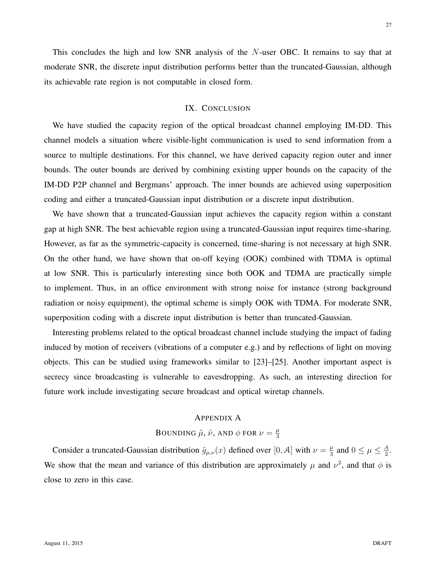This concludes the high and low SNR analysis of the N-user OBC. It remains to say that at moderate SNR, the discrete input distribution performs better than the truncated-Gaussian, although its achievable rate region is not computable in closed form.

## IX. CONCLUSION

We have studied the capacity region of the optical broadcast channel employing IM-DD. This channel models a situation where visible-light communication is used to send information from a source to multiple destinations. For this channel, we have derived capacity region outer and inner bounds. The outer bounds are derived by combining existing upper bounds on the capacity of the IM-DD P2P channel and Bergmans' approach. The inner bounds are achieved using superposition coding and either a truncated-Gaussian input distribution or a discrete input distribution.

We have shown that a truncated-Gaussian input achieves the capacity region within a constant gap at high SNR. The best achievable region using a truncated-Gaussian input requires time-sharing. However, as far as the symmetric-capacity is concerned, time-sharing is not necessary at high SNR. On the other hand, we have shown that on-off keying (OOK) combined with TDMA is optimal at low SNR. This is particularly interesting since both OOK and TDMA are practically simple to implement. Thus, in an office environment with strong noise for instance (strong background radiation or noisy equipment), the optimal scheme is simply OOK with TDMA. For moderate SNR, superposition coding with a discrete input distribution is better than truncated-Gaussian.

Interesting problems related to the optical broadcast channel include studying the impact of fading induced by motion of receivers (vibrations of a computer e.g.) and by reflections of light on moving objects. This can be studied using frameworks similar to [23]–[25]. Another important aspect is secrecy since broadcasting is vulnerable to eavesdropping. As such, an interesting direction for future work include investigating secure broadcast and optical wiretap channels.

# APPENDIX A

#### BOUNDING  $\tilde{\mu}$ ,  $\tilde{\nu}$ , and  $\phi$  for  $\nu = \frac{\mu}{3}$ 3

Consider a truncated-Gaussian distribution  $\tilde{g}_{\mu,\nu}(x)$  defined over  $[0, A]$  with  $\nu = \frac{\mu}{3}$  $\frac{\mu}{3}$  and  $0 \leq \mu \leq \frac{\mathcal{A}}{2}$  $\frac{A}{2}$ . We show that the mean and variance of this distribution are approximately  $\mu$  and  $\nu^2$ , and that  $\phi$  is close to zero in this case.

27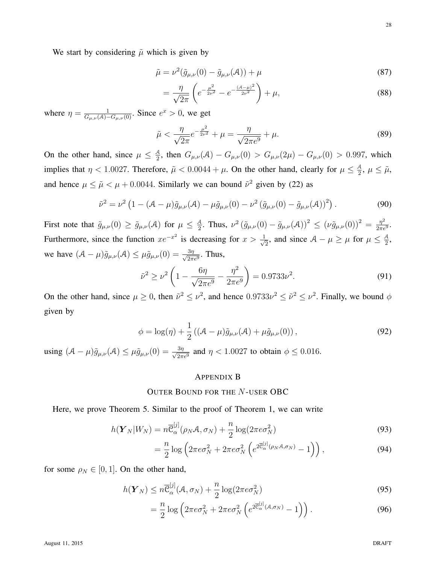We start by considering  $\tilde{\mu}$  which is given by

$$
\tilde{\mu} = \nu^2(\tilde{g}_{\mu,\nu}(0) - \tilde{g}_{\mu,\nu}(A)) + \mu \tag{87}
$$

$$
=\frac{\eta}{\sqrt{2\pi}}\left(e^{-\frac{\mu^2}{2\nu^2}}-e^{-\frac{(A-\mu)^2}{2\nu^2}}\right)+\mu,
$$
\n(88)

where  $\eta = \frac{1}{G_{\mu,\nu}(A) - G_{\mu,\nu}(0)}$ . Since  $e^x > 0$ , we get

$$
\tilde{\mu} < \frac{\eta}{\sqrt{2\pi}} e^{-\frac{\mu^2}{2\nu^2}} + \mu = \frac{\eta}{\sqrt{2\pi e^9}} + \mu. \tag{89}
$$

On the other hand, since  $\mu \leq \frac{A}{2}$  $\frac{A}{2}$ , then  $G_{\mu,\nu}(\mathcal{A}) - G_{\mu,\nu}(0) > G_{\mu,\nu}(2\mu) - G_{\mu,\nu}(0) > 0.997$ , which implies that  $\eta < 1.0027$ . Therefore,  $\tilde{\mu} < 0.0044 + \mu$ . On the other hand, clearly for  $\mu \leq \frac{\lambda}{2}$  $\frac{A}{2}, \mu \leq \tilde{\mu},$ and hence  $\mu \leq \tilde{\mu} < \mu + 0.0044$ . Similarly we can bound  $\tilde{\nu}^2$  given by (22) as

$$
\tilde{\nu}^2 = \nu^2 \left( 1 - (\mathcal{A} - \mu) \tilde{g}_{\mu,\nu}(\mathcal{A}) - \mu \tilde{g}_{\mu,\nu}(0) - \nu^2 \left( \tilde{g}_{\mu,\nu}(0) - \tilde{g}_{\mu,\nu}(\mathcal{A}) \right)^2 \right).
$$
\n(90)

First note that  $\tilde{g}_{\mu,\nu}(0) \geq \tilde{g}_{\mu,\nu}(\mathcal{A})$  for  $\mu \leq \frac{\mathcal{A}}{2}$  $\frac{\partial A}{\partial z}$ . Thus,  $\nu^2 (\tilde{g}_{\mu,\nu}(0) - \tilde{g}_{\mu,\nu}(A))^2 \le (\nu \tilde{g}_{\mu,\nu}(0))^2 = \frac{\eta^2}{2\pi\epsilon}$  $\frac{\eta^2}{2\pi e^9}.$ Furthermore, since the function  $xe^{-x^2}$  is decreasing for  $x > \frac{1}{\sqrt{2}}$  $\frac{1}{2}$ , and since  $\mathcal{A} - \mu \geq \mu$  for  $\mu \leq \frac{\mathcal{A}}{2}$  $\frac{A}{2}$ , we have  $(A - \mu)\tilde{g}_{\mu,\nu}(A) \leq \mu\tilde{g}_{\mu,\nu}(0) = \frac{3\eta}{\sqrt{2\pi e^9}}$ . Thus,

$$
\tilde{\nu}^2 \ge \nu^2 \left( 1 - \frac{6\eta}{\sqrt{2\pi e^9}} - \frac{\eta^2}{2\pi e^9} \right) = 0.9733\nu^2. \tag{91}
$$

On the other hand, since  $\mu \ge 0$ , then  $\tilde{\nu}^2 \le \nu^2$ , and hence  $0.9733\nu^2 \le \tilde{\nu}^2 \le \nu^2$ . Finally, we bound  $\phi$ given by

$$
\phi = \log(\eta) + \frac{1}{2} \left( (\mathcal{A} - \mu) \tilde{g}_{\mu,\nu}(\mathcal{A}) + \mu \tilde{g}_{\mu,\nu}(0) \right),\tag{92}
$$

using  $(A - \mu)\tilde{g}_{\mu,\nu}(A) \le \mu\tilde{g}_{\mu,\nu}(0) = \frac{3\eta}{\sqrt{2\pi e^9}}$  and  $\eta < 1.0027$  to obtain  $\phi \le 0.016$ .

## APPENDIX B

#### OUTER BOUND FOR THE N-USER OBC

Here, we prove Theorem 5. Similar to the proof of Theorem 1, we can write

$$
h(\boldsymbol{Y}_N|W_N) = n\overline{\mathcal{C}}_{\alpha}^{[j]}(\rho_N \mathcal{A}, \sigma_N) + \frac{n}{2}\log(2\pi e \sigma_N^2)
$$
\n(93)

$$
= \frac{n}{2} \log \left( 2\pi e \sigma_N^2 + 2\pi e \sigma_N^2 \left( e^{2\overline{c}_\alpha^{[j]}(\rho_N, A, \sigma_N)} - 1 \right) \right),\tag{94}
$$

for some  $\rho_N \in [0, 1]$ . On the other hand,

$$
h(\boldsymbol{Y}_N) \leq n \overline{\mathcal{C}}_{\alpha}^{[j]}(\mathcal{A}, \sigma_N) + \frac{n}{2} \log(2\pi e \sigma_N^2)
$$
\n(95)

$$
= \frac{n}{2} \log \left( 2\pi e \sigma_N^2 + 2\pi e \sigma_N^2 \left( e^{2\overline{c}_\alpha^{[j]}(\mathcal{A}, \sigma_N)} - 1 \right) \right).
$$
 (96)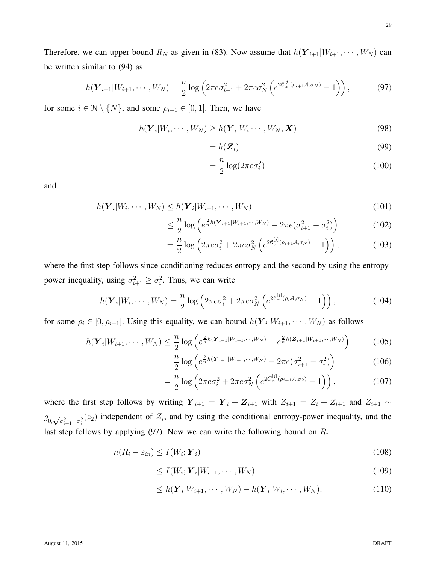Therefore, we can upper bound  $R_N$  as given in (83). Now assume that  $h(Y_{i+1}|W_{i+1}, \dots, W_N)$  can be written similar to (94) as

$$
h(\boldsymbol{Y}_{i+1}|W_{i+1},\cdots,W_N) = \frac{n}{2}\log\left(2\pi e \sigma_{i+1}^2 + 2\pi e \sigma_N^2 \left(e^{2\overline{c}_\alpha^{[j]}(\rho_{i+1}\mathcal{A},\sigma_N)} - 1\right)\right),\tag{97}
$$

for some  $i \in \mathcal{N} \setminus \{N\}$ , and some  $\rho_{i+1} \in [0, 1]$ . Then, we have

$$
h(\boldsymbol{Y}_i|W_i,\cdots,W_N) \ge h(\boldsymbol{Y}_i|W_i\cdots,W_N,\boldsymbol{X})
$$
\n(98)

$$
=h(\mathbf{Z}_i) \tag{99}
$$

$$
=\frac{n}{2}\log(2\pi e\sigma_i^2)\tag{100}
$$

and

$$
h(\mathbf{Y}_{i}|W_{i},\cdots,W_{N}) \leq h(\mathbf{Y}_{i}|W_{i+1},\cdots,W_{N})
$$
\n(101)

$$
\leq \frac{n}{2} \log \left( e^{\frac{2}{n} h(\mathbf{Y}_{i+1}|W_{i+1},\cdots,W_N)} - 2\pi e(\sigma_{i+1}^2 - \sigma_i^2) \right) \tag{102}
$$

$$
= \frac{n}{2} \log \left( 2\pi e \sigma_i^2 + 2\pi e \sigma_N^2 \left( e^{2\overline{c}_\alpha^{[j]}(\rho_{i+1}\mathcal{A}, \sigma_N)} - 1 \right) \right),\tag{103}
$$

where the first step follows since conditioning reduces entropy and the second by using the entropypower inequality, using  $\sigma_{i+1}^2 \geq \sigma_i^2$ . Thus, we can write

$$
h(\boldsymbol{Y}_i|W_i,\cdots,W_N) = \frac{n}{2}\log\left(2\pi e\sigma_i^2 + 2\pi e\sigma_N^2\left(e^{2\overline{c}_\alpha^{[j]}(\rho_i,\mathcal{A},\sigma_N)} - 1\right)\right),\tag{104}
$$

for some  $\rho_i \in [0, \rho_{i+1}]$ . Using this equality, we can bound  $h(Y_i|W_{i+1}, \dots, W_N)$  as follows

=

$$
h(\mathbf{Y}_{i}|W_{i+1},\cdots,W_{N}) \leq \frac{n}{2}\log\left(e^{\frac{2}{n}h(\mathbf{Y}_{i+1}|W_{i+1},\cdots,W_{N})}-e^{\frac{2}{n}h(\tilde{\mathbf{Z}}_{i+1}|W_{i+1},\cdots,W_{N})}\right)
$$
(105)

$$
= \frac{n}{2} \log \left( e^{\frac{2}{n} h(\mathbf{Y}_{i+1}|W_{i+1},\cdots,W_N)} - 2\pi e(\sigma_{i+1}^2 - \sigma_i^2) \right)
$$
(106)

$$
= \frac{n}{2}\log\left(2\pi e\sigma_i^2 + 2\pi e\sigma_N^2\left(e^{2\overline{C}_\alpha^{[j]}(\rho_{i+1}\mathcal{A}, \sigma_2)} - 1\right)\right),\tag{107}
$$

where the first step follows by writing  $\bm{Y}_{i+1} = \bm{Y}_i + \tilde{\bm{Z}}_{i+1}$  with  $Z_{i+1} = Z_i + \tilde{Z}_{i+1}$  and  $\tilde{Z}_{i+1} \sim$  $g_{0,\sqrt{\sigma_{i+1}^2-\sigma_i^2}}(\tilde{z}_2)$  independent of  $Z_i$ , and by using the conditional entropy-power inequality, and the last step follows by applying (97). Now we can write the following bound on  $R_i$ 

$$
n(R_i - \varepsilon_{in}) \le I(W_i; \boldsymbol{Y}_i)
$$
\n<sup>(108)</sup>

$$
\leq I(W_i; \boldsymbol{Y}_i | W_{i+1}, \cdots, W_N) \tag{109}
$$

$$
\leq h(\mathbf{Y}_{i}|W_{i+1},\cdots,W_{N}) - h(\mathbf{Y}_{i}|W_{i},\cdots,W_{N}),
$$
\n(110)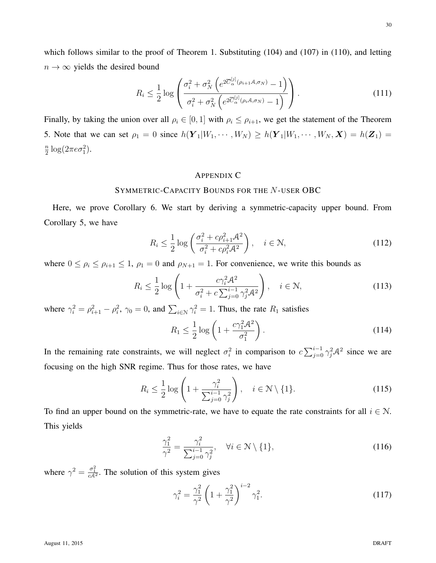which follows similar to the proof of Theorem 1. Substituting (104) and (107) in (110), and letting  $n \to \infty$  yields the desired bound

$$
R_i \leq \frac{1}{2} \log \left( \frac{\sigma_i^2 + \sigma_N^2 \left( e^{2 \overline{C}_\alpha^{[j]}(\rho_{i+1} A, \sigma_N)} - 1 \right)}{\sigma_i^2 + \sigma_N^2 \left( e^{2 \overline{C}_\alpha^{[j]}(\rho_i A, \sigma_N)} - 1 \right)} \right).
$$
(111)

Finally, by taking the union over all  $\rho_i \in [0, 1]$  with  $\rho_i \leq \rho_{i+1}$ , we get the statement of the Theorem 5. Note that we can set  $\rho_1 = 0$  since  $h(Y_1|W_1, \dots, W_N) \ge h(Y_1|W_1, \dots, W_N, X) = h(Z_1) =$ n  $\frac{n}{2} \log(2\pi e \sigma_1^2)$ .

# APPENDIX C

#### SYMMETRIC-CAPACITY BOUNDS FOR THE N-USER OBC

Here, we prove Corollary 6. We start by deriving a symmetric-capacity upper bound. From Corollary 5, we have

$$
R_i \le \frac{1}{2} \log \left( \frac{\sigma_i^2 + c \rho_{i+1}^2 \mathcal{A}^2}{\sigma_i^2 + c \rho_i^2 \mathcal{A}^2} \right), \quad i \in \mathbb{N}, \tag{112}
$$

where  $0 \le \rho_i \le \rho_{i+1} \le 1$ ,  $\rho_1 = 0$  and  $\rho_{N+1} = 1$ . For convenience, we write this bounds as

$$
R_i \le \frac{1}{2} \log \left( 1 + \frac{c \gamma_i^2 \mathcal{A}^2}{\sigma_i^2 + c \sum_{j=0}^{i-1} \gamma_j^2 \mathcal{A}^2} \right), \quad i \in \mathbb{N}, \tag{113}
$$

where  $\gamma_i^2 = \rho_{i+1}^2 - \rho_i^2$ ,  $\gamma_0 = 0$ , and  $\sum_{i \in \mathcal{N}} \gamma_i^2 = 1$ . Thus, the rate  $R_1$  satisfies

$$
R_1 \le \frac{1}{2} \log \left( 1 + \frac{c \gamma_1^2 \mathcal{A}^2}{\sigma_1^2} \right). \tag{114}
$$

In the remaining rate constraints, we will neglect  $\sigma_i^2$  in comparison to  $c \sum_{j=0}^{i-1} \gamma_j^2 \mathcal{A}^2$  since we are focusing on the high SNR regime. Thus for those rates, we have

$$
R_i \le \frac{1}{2} \log \left( 1 + \frac{\gamma_i^2}{\sum_{j=0}^{i-1} \gamma_j^2} \right), \quad i \in \mathcal{N} \setminus \{1\}.
$$
 (115)

To find an upper bound on the symmetric-rate, we have to equate the rate constraints for all  $i \in \mathbb{N}$ . This yields

$$
\frac{\gamma_1^2}{\gamma^2} = \frac{\gamma_i^2}{\sum_{j=0}^{i-1} \gamma_j^2}, \quad \forall i \in \mathcal{N} \setminus \{1\},\tag{116}
$$

where  $\gamma^2 = \frac{\sigma_1^2}{cA^2}$ . The solution of this system gives

$$
\gamma_i^2 = \frac{\gamma_1^2}{\gamma^2} \left( 1 + \frac{\gamma_1^2}{\gamma^2} \right)^{i-2} \gamma_1^2.
$$
 (117)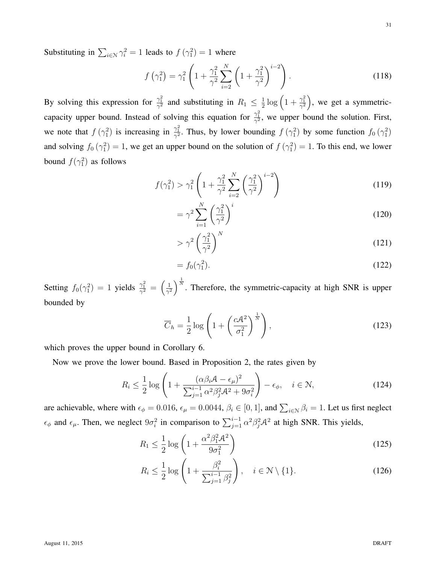Substituting in  $\sum_{i \in \mathcal{N}} \gamma_i^2 = 1$  leads to  $f(\gamma_1^2) = 1$  where

$$
f\left(\gamma_1^2\right) = \gamma_1^2 \left(1 + \frac{\gamma_1^2}{\gamma^2} \sum_{i=2}^N \left(1 + \frac{\gamma_1^2}{\gamma^2}\right)^{i-2}\right).
$$
 (118)

By solving this expression for  $\frac{\gamma_1^2}{\gamma^2}$  and substituting in  $R_1 \leq \frac{1}{2}$  $\frac{1}{2} \log \left( 1 + \frac{\gamma_1^2}{\gamma^2} \right)$ , we get a symmetriccapacity upper bound. Instead of solving this equation for  $\frac{\gamma_1^2}{\gamma^2}$ , we upper bound the solution. First, we note that  $f(\gamma_1^2)$  is increasing in  $\frac{\gamma_1^2}{\gamma_2^2}$ . Thus, by lower bounding  $f(\gamma_1^2)$  by some function  $f_0(\gamma_1^2)$ and solving  $f_0(\gamma_1^2) = 1$ , we get an upper bound on the solution of  $f(\gamma_1^2) = 1$ . To this end, we lower bound  $f(\gamma_1^2)$  as follows

$$
f(\gamma_1^2) > \gamma_1^2 \left( 1 + \frac{\gamma_1^2}{\gamma^2} \sum_{i=2}^N \left( \frac{\gamma_1^2}{\gamma^2} \right)^{i-2} \right)
$$
 (119)

$$
=\gamma^2\sum_{i=1}^N\left(\frac{\gamma_1^2}{\gamma^2}\right)^i\tag{120}
$$

$$
> \gamma^2 \left(\frac{\gamma_1^2}{\gamma^2}\right)^N \tag{121}
$$

$$
=f_0(\gamma_1^2). \tag{122}
$$

Setting  $f_0(\gamma_1^2) = 1$  yields  $\frac{\gamma_1^2}{\gamma_1^2} = \left(\frac{1}{\gamma_1^2}\right)$  $\frac{1}{\gamma^2}$ )<sup> $\frac{1}{N}$ </sup>. Therefore, the symmetric-capacity at high SNR is upper bounded by

$$
\overline{C}_h = \frac{1}{2} \log \left( 1 + \left( \frac{c \mathcal{A}^2}{\sigma_1^2} \right)^{\frac{1}{N}} \right),\tag{123}
$$

which proves the upper bound in Corollary 6.

Now we prove the lower bound. Based in Proposition 2, the rates given by

$$
R_i \le \frac{1}{2} \log \left( 1 + \frac{(\alpha \beta_i \mathcal{A} - \epsilon_\mu)^2}{\sum_{j=1}^{i-1} \alpha^2 \beta_j^2 \mathcal{A}^2 + 9\sigma_i^2} \right) - \epsilon_\phi, \quad i \in \mathbb{N},
$$
\n(124)

are achievable, where with  $\epsilon_{\phi} = 0.016$ ,  $\epsilon_{\mu} = 0.0044$ ,  $\beta_i \in [0, 1]$ , and  $\sum_{i \in \mathcal{N}} \beta_i = 1$ . Let us first neglect  $\epsilon_{\phi}$  and  $\epsilon_{\mu}$ . Then, we neglect  $9\sigma_i^2$  in comparison to  $\sum_{j=1}^{i-1} \alpha^2 \beta_j^2 \mathcal{A}^2$  at high SNR. This yields,

$$
R_1 \le \frac{1}{2} \log \left( 1 + \frac{\alpha^2 \beta_1^2 \mathcal{A}^2}{9 \sigma_1^2} \right) \tag{125}
$$

$$
R_i \le \frac{1}{2} \log \left( 1 + \frac{\beta_i^2}{\sum_{j=1}^{i-1} \beta_j^2} \right), \quad i \in \mathcal{N} \setminus \{1\}.
$$
 (126)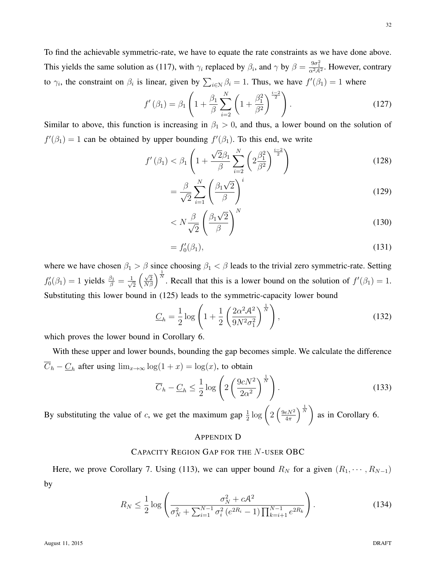To find the achievable symmetric-rate, we have to equate the rate constraints as we have done above. This yields the same solution as (117), with  $\gamma_i$  replaced by  $\beta_i$ , and  $\gamma$  by  $\beta = \frac{9\sigma_1^2}{\alpha^2 A^2}$ . However, contrary to  $\gamma_i$ , the constraint on  $\beta_i$  is linear, given by  $\sum_{i \in \mathcal{N}} \beta_i = 1$ . Thus, we have  $f'(\beta_1) = 1$  where

$$
f'(\beta_1) = \beta_1 \left( 1 + \frac{\beta_1}{\beta} \sum_{i=2}^N \left( 1 + \frac{\beta_1^2}{\beta^2} \right)^{\frac{i-2}{2}} \right).
$$
 (127)

Similar to above, this function is increasing in  $\beta_1 > 0$ , and thus, a lower bound on the solution of  $f'(\beta_1) = 1$  can be obtained by upper bounding  $f'(\beta_1)$ . To this end, we write

$$
f'(\beta_1) < \beta_1 \left( 1 + \frac{\sqrt{2}\beta_1}{\beta} \sum_{i=2}^N \left( 2\frac{\beta_1^2}{\beta^2} \right)^{\frac{i-2}{2}} \right) \tag{128}
$$

$$
= \frac{\beta}{\sqrt{2}} \sum_{i=1}^{N} \left( \frac{\beta_1 \sqrt{2}}{\beta} \right)^i
$$
 (129)

$$
\langle N \frac{\beta}{\sqrt{2}} \left( \frac{\beta_1 \sqrt{2}}{\beta} \right)^N \tag{130}
$$

$$
=f_0'(\beta_1),\tag{131}
$$

where we have chosen  $\beta_1 > \beta$  since choosing  $\beta_1 < \beta$  leads to the trivial zero symmetric-rate. Setting  $f'_0(\beta_1) = 1$  yields  $\frac{\beta_1}{\beta} = \frac{1}{\sqrt{2}}$ 2  $\left(\frac{\sqrt{2}}{N\beta}\right)^{\frac{1}{N}}$ . Recall that this is a lower bound on the solution of  $f'(\beta_1) = 1$ . Substituting this lower bound in (125) leads to the symmetric-capacity lower bound

$$
\underline{C}_h = \frac{1}{2} \log \left( 1 + \frac{1}{2} \left( \frac{2\alpha^2 \mathcal{A}^2}{9N^2 \sigma_1^2} \right)^{\frac{1}{N}} \right),\tag{132}
$$

which proves the lower bound in Corollary 6.

With these upper and lower bounds, bounding the gap becomes simple. We calculate the difference  $\overline{C}_h - \underline{C}_h$  after using  $\lim_{x \to \infty} \log(1 + x) = \log(x)$ , to obtain

$$
\overline{C}_h - \underline{C}_h \le \frac{1}{2} \log \left( 2 \left( \frac{9cN^2}{2\alpha^2} \right)^{\frac{1}{N}} \right).
$$
\n(133)

By substituting the value of c, we get the maximum gap  $\frac{1}{2} \log \left( 2 \left( \frac{9eN^2}{4\pi} \right) \right)$  $\left(\frac{eN^2}{4\pi}\right)^{\frac{1}{N}}$ as in Corollary 6.

## APPENDIX D

#### CAPACITY REGION GAP FOR THE N-USER OBC

Here, we prove Corollary 7. Using (113), we can upper bound  $R_N$  for a given  $(R_1, \dots, R_{N-1})$ by

$$
R_N \le \frac{1}{2} \log \left( \frac{\sigma_N^2 + cA^2}{\sigma_N^2 + \sum_{i=1}^{N-1} \sigma_i^2 \left( e^{2R_i} - 1 \right) \prod_{k=i+1}^{N-1} e^{2R_k}} \right).
$$
(134)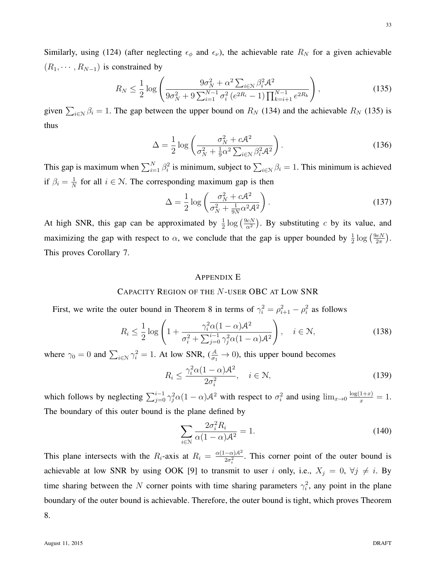Similarly, using (124) (after neglecting  $\epsilon_{\phi}$  and  $\epsilon_{\nu}$ ), the achievable rate  $R_N$  for a given achievable  $(R_1, \cdots, R_{N-1})$  is constrained by

$$
R_N \le \frac{1}{2} \log \left( \frac{9\sigma_N^2 + \alpha^2 \sum_{i \in \mathcal{N}} \beta_i^2 \mathcal{A}^2}{9\sigma_N^2 + 9 \sum_{i=1}^{N-1} \sigma_i^2 \left( e^{2R_i} - 1 \right) \prod_{k=i+1}^{N-1} e^{2R_k}} \right),\tag{135}
$$

given  $\sum_{i \in N} \beta_i = 1$ . The gap between the upper bound on  $R_N$  (134) and the achievable  $R_N$  (135) is thus

$$
\Delta = \frac{1}{2} \log \left( \frac{\sigma_N^2 + c \mathcal{A}^2}{\sigma_N^2 + \frac{1}{9} \alpha^2 \sum_{i \in \mathcal{N}} \beta_i^2 \mathcal{A}^2} \right).
$$
 (136)

This gap is maximum when  $\sum_{i=1}^{N} \beta_i^2$  is minimum, subject to  $\sum_{i \in N} \beta_i = 1$ . This minimum is achieved if  $\beta_i = \frac{1}{N}$  $\frac{1}{N}$  for all  $i \in \mathcal{N}$ . The corresponding maximum gap is then

$$
\Delta = \frac{1}{2} \log \left( \frac{\sigma_N^2 + c \mathcal{A}^2}{\sigma_N^2 + \frac{1}{9N} \alpha^2 \mathcal{A}^2} \right).
$$
 (137)

At high SNR, this gap can be approximated by  $\frac{1}{2} \log \left( \frac{9cN}{\alpha^2} \right)$  $\frac{\partial c(N)}{\partial x^2}$ ). By substituting c by its value, and maximizing the gap with respect to  $\alpha$ , we conclude that the gap is upper bounded by  $\frac{1}{2} \log \left( \frac{9eN}{2\pi} \right)$  $\frac{\theta eN}{2\pi}\Big).$ This proves Corollary 7.

### APPENDIX E

# CAPACITY REGION OF THE N-USER OBC AT LOW SNR

First, we write the outer bound in Theorem 8 in terms of  $\gamma_i^2 = \rho_{i+1}^2 - \rho_i^2$  as follows

$$
R_i \le \frac{1}{2} \log \left( 1 + \frac{\gamma_i^2 \alpha (1 - \alpha) \mathcal{A}^2}{\sigma_i^2 + \sum_{j=0}^{i-1} \gamma_j^2 \alpha (1 - \alpha) \mathcal{A}^2} \right), \quad i \in \mathbb{N},
$$
\n(138)

where  $\gamma_0 = 0$  and  $\sum_{i \in \mathcal{N}} \gamma_i^2 = 1$ . At low SNR,  $(\frac{A}{\sigma_1} \to 0)$ , this upper bound becomes

$$
R_i \le \frac{\gamma_i^2 \alpha (1 - \alpha) \mathcal{A}^2}{2\sigma_i^2}, \quad i \in \mathbb{N},
$$
\n(139)

which follows by neglecting  $\sum_{j=0}^{i-1} \gamma_j^2 \alpha (1-\alpha) \mathcal{A}^2$  with respect to  $\sigma_i^2$  and using  $\lim_{x\to 0} \frac{\log(1+x)}{x} = 1$ . The boundary of this outer bound is the plane defined by

$$
\sum_{i \in \mathcal{N}} \frac{2\sigma_i^2 R_i}{\alpha (1 - \alpha) \mathcal{A}^2} = 1.
$$
\n(140)

This plane intersects with the  $R_i$ -axis at  $R_i = \frac{\alpha(1-\alpha)A^2}{2\sigma^2}$  $\frac{-\alpha}{2\sigma_i^2}$ . This corner point of the outer bound is achievable at low SNR by using OOK [9] to transmit to user i only, i.e.,  $X_j = 0$ ,  $\forall j \neq i$ . By time sharing between the N corner points with time sharing parameters  $\gamma_i^2$ , any point in the plane boundary of the outer bound is achievable. Therefore, the outer bound is tight, which proves Theorem 8.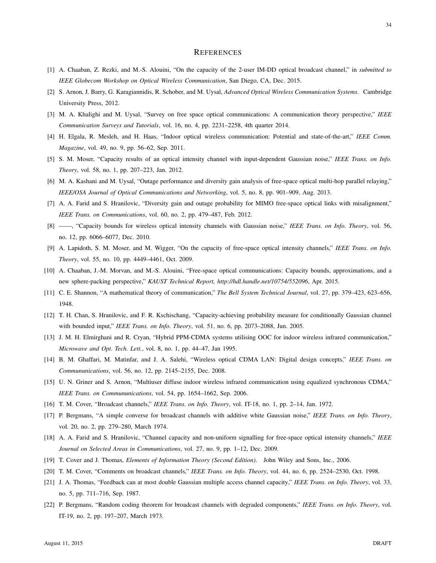#### **REFERENCES**

- [1] A. Chaaban, Z. Rezki, and M.-S. Alouini, "On the capacity of the 2-user IM-DD optical broadcast channel," in *submitted to IEEE Globecom Workshop on Optical Wireless Communication*, San Diego, CA, Dec. 2015.
- [2] S. Arnon, J. Barry, G. Karagiannidis, R. Schober, and M. Uysal, *Advanced Optical Wireless Communication Systems*. Cambridge University Press, 2012.
- [3] M. A. Khalighi and M. Uysal, "Survey on free space optical communications: A communication theory perspective," *IEEE Communication Surveys and Tutorials*, vol. 16, no. 4, pp. 2231–2258, 4th quarter 2014.
- [4] H. Elgala, R. Mesleh, and H. Haas, "Indoor optical wireless communication: Potential and state-of-the-art," *IEEE Comm. Magazine*, vol. 49, no. 9, pp. 56–62, Sep. 2011.
- [5] S. M. Moser, "Capacity results of an optical intensity channel with input-dependent Gaussian noise," *IEEE Trans. on Info. Theory*, vol. 58, no. 1, pp. 207–223, Jan. 2012.
- [6] M. A. Kashani and M. Uysal, "Outage performance and diversity gain analysis of free-space optical multi-hop parallel relaying," *IEEE/OSA Journal of Optical Communications and Networking*, vol. 5, no. 8, pp. 901–909, Aug. 2013.
- [7] A. A. Farid and S. Hranilovic, "Diversity gain and outage probability for MIMO free-space optical links with misalignment," *IEEE Trans. on Communications*, vol. 60, no. 2, pp. 479–487, Feb. 2012.
- [8] ——, "Capacity bounds for wireless optical intensity channels with Gaussian noise," *IEEE Trans. on Info. Theory*, vol. 56, no. 12, pp. 6066–6077, Dec. 2010.
- [9] A. Lapidoth, S. M. Moser, and M. Wigger, "On the capacity of free-space optical intensity channels," *IEEE Trans. on Info. Theory*, vol. 55, no. 10, pp. 4449–4461, Oct. 2009.
- [10] A. Chaaban, J.-M. Morvan, and M.-S. Alouini, "Free-space optical communications: Capacity bounds, approximations, and a new sphere-packing perspective," *KAUST Technical Report, http://hdl.handle.net/10754/552096*, Apr. 2015.
- [11] C. E. Shannon, "A mathematical theory of communication," *The Bell System Technical Journal*, vol. 27, pp. 379–423, 623–656, 1948.
- [12] T. H. Chan, S. Hranilovic, and F. R. Kschischang, "Capacity-achieving probability measure for conditionally Gaussian channel with bounded input," *IEEE Trans. on Info. Theory*, vol. 51, no. 6, pp. 2073–2088, Jun. 2005.
- [13] J. M. H. Elmirghani and R. Cryan, "Hybrid PPM-CDMA systems utilising OOC for indoor wireless infrared communication," *Microwave and Opt. Tech. Lett.*, vol. 8, no. 1, pp. 44–47, Jan 1995.
- [14] B. M. Ghaffari, M. Matinfar, and J. A. Salehi, "Wireless optical CDMA LAN: Digital design concepts," *IEEE Trans. on Commununications*, vol. 56, no. 12, pp. 2145–2155, Dec. 2008.
- [15] U. N. Griner and S. Arnon, "Multiuser diffuse indoor wireless infrared communication using equalized synchronous CDMA," *IEEE Trans. on Commununications*, vol. 54, pp. 1654–1662, Sep. 2006.
- [16] T. M. Cover, "Broadcast channels," *IEEE Trans. on Info. Theory*, vol. IT-18, no. 1, pp. 2–14, Jan. 1972.
- [17] P. Bergmans, "A simple converse for broadcast channels with additive white Gaussian noise," *IEEE Trans. on Info. Theory*, vol. 20, no. 2, pp. 279–280, March 1974.
- [18] A. A. Farid and S. Hranilovic, "Channel capacity and non-uniform signalling for free-space optical intensity channels," *IEEE Journal on Selected Areas in Communications*, vol. 27, no. 9, pp. 1–12, Dec. 2009.
- [19] T. Cover and J. Thomas, *Elements of Information Theory (Second Edition)*. John Wiley and Sons, Inc., 2006.
- [20] T. M. Cover, "Comments on broadcast channels," *IEEE Trans. on Info. Theory*, vol. 44, no. 6, pp. 2524–2530, Oct. 1998.
- [21] J. A. Thomas, "Feedback can at most double Gaussian multiple access channel capacity," *IEEE Trans. on Info. Theory*, vol. 33, no. 5, pp. 711–716, Sep. 1987.
- [22] P. Bergmans, "Random coding theorem for broadcast channels with degraded components," *IEEE Trans. on Info. Theory*, vol. IT-19, no. 2, pp. 197–207, March 1973.